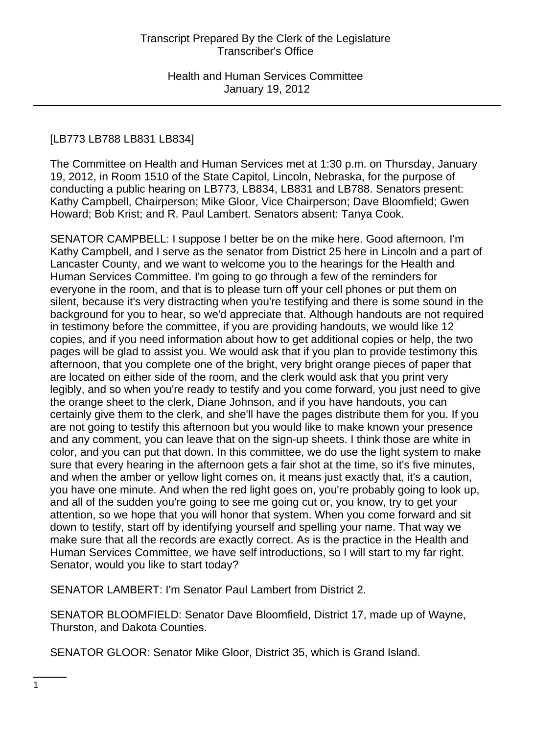# [LB773 LB788 LB831 LB834]

The Committee on Health and Human Services met at 1:30 p.m. on Thursday, January 19, 2012, in Room 1510 of the State Capitol, Lincoln, Nebraska, for the purpose of conducting a public hearing on LB773, LB834, LB831 and LB788. Senators present: Kathy Campbell, Chairperson; Mike Gloor, Vice Chairperson; Dave Bloomfield; Gwen Howard; Bob Krist; and R. Paul Lambert. Senators absent: Tanya Cook.

SENATOR CAMPBELL: I suppose I better be on the mike here. Good afternoon. I'm Kathy Campbell, and I serve as the senator from District 25 here in Lincoln and a part of Lancaster County, and we want to welcome you to the hearings for the Health and Human Services Committee. I'm going to go through a few of the reminders for everyone in the room, and that is to please turn off your cell phones or put them on silent, because it's very distracting when you're testifying and there is some sound in the background for you to hear, so we'd appreciate that. Although handouts are not required in testimony before the committee, if you are providing handouts, we would like 12 copies, and if you need information about how to get additional copies or help, the two pages will be glad to assist you. We would ask that if you plan to provide testimony this afternoon, that you complete one of the bright, very bright orange pieces of paper that are located on either side of the room, and the clerk would ask that you print very legibly, and so when you're ready to testify and you come forward, you just need to give the orange sheet to the clerk, Diane Johnson, and if you have handouts, you can certainly give them to the clerk, and she'll have the pages distribute them for you. If you are not going to testify this afternoon but you would like to make known your presence and any comment, you can leave that on the sign-up sheets. I think those are white in color, and you can put that down. In this committee, we do use the light system to make sure that every hearing in the afternoon gets a fair shot at the time, so it's five minutes, and when the amber or yellow light comes on, it means just exactly that, it's a caution, you have one minute. And when the red light goes on, you're probably going to look up, and all of the sudden you're going to see me going cut or, you know, try to get your attention, so we hope that you will honor that system. When you come forward and sit down to testify, start off by identifying yourself and spelling your name. That way we make sure that all the records are exactly correct. As is the practice in the Health and Human Services Committee, we have self introductions, so I will start to my far right. Senator, would you like to start today?

SENATOR LAMBERT: I'm Senator Paul Lambert from District 2.

SENATOR BLOOMFIELD: Senator Dave Bloomfield, District 17, made up of Wayne, Thurston, and Dakota Counties.

SENATOR GLOOR: Senator Mike Gloor, District 35, which is Grand Island.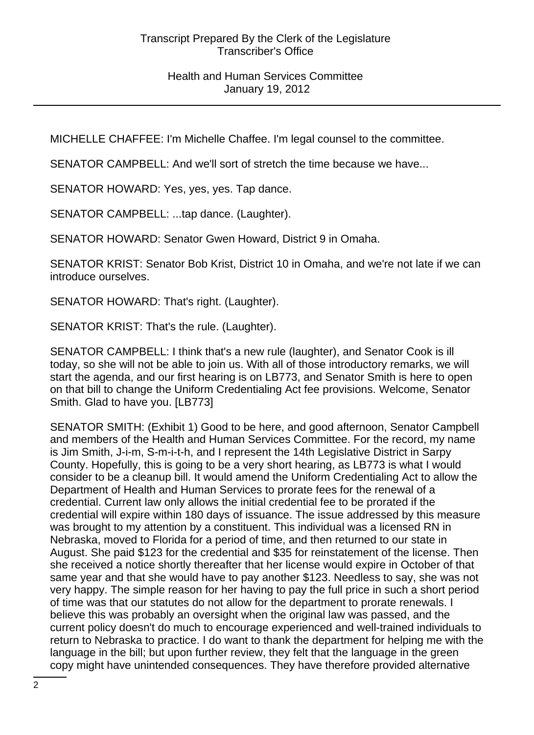MICHELLE CHAFFEE: I'm Michelle Chaffee. I'm legal counsel to the committee.

SENATOR CAMPBELL: And we'll sort of stretch the time because we have...

SENATOR HOWARD: Yes, yes, yes. Tap dance.

SENATOR CAMPBELL: ...tap dance. (Laughter).

SENATOR HOWARD: Senator Gwen Howard, District 9 in Omaha.

SENATOR KRIST: Senator Bob Krist, District 10 in Omaha, and we're not late if we can introduce ourselves.

SENATOR HOWARD: That's right. (Laughter).

SENATOR KRIST: That's the rule. (Laughter).

SENATOR CAMPBELL: I think that's a new rule (laughter), and Senator Cook is ill today, so she will not be able to join us. With all of those introductory remarks, we will start the agenda, and our first hearing is on LB773, and Senator Smith is here to open on that bill to change the Uniform Credentialing Act fee provisions. Welcome, Senator Smith. Glad to have you. [LB773]

SENATOR SMITH: (Exhibit 1) Good to be here, and good afternoon, Senator Campbell and members of the Health and Human Services Committee. For the record, my name is Jim Smith, J-i-m, S-m-i-t-h, and I represent the 14th Legislative District in Sarpy County. Hopefully, this is going to be a very short hearing, as LB773 is what I would consider to be a cleanup bill. It would amend the Uniform Credentialing Act to allow the Department of Health and Human Services to prorate fees for the renewal of a credential. Current law only allows the initial credential fee to be prorated if the credential will expire within 180 days of issuance. The issue addressed by this measure was brought to my attention by a constituent. This individual was a licensed RN in Nebraska, moved to Florida for a period of time, and then returned to our state in August. She paid \$123 for the credential and \$35 for reinstatement of the license. Then she received a notice shortly thereafter that her license would expire in October of that same year and that she would have to pay another \$123. Needless to say, she was not very happy. The simple reason for her having to pay the full price in such a short period of time was that our statutes do not allow for the department to prorate renewals. I believe this was probably an oversight when the original law was passed, and the current policy doesn't do much to encourage experienced and well-trained individuals to return to Nebraska to practice. I do want to thank the department for helping me with the language in the bill; but upon further review, they felt that the language in the green copy might have unintended consequences. They have therefore provided alternative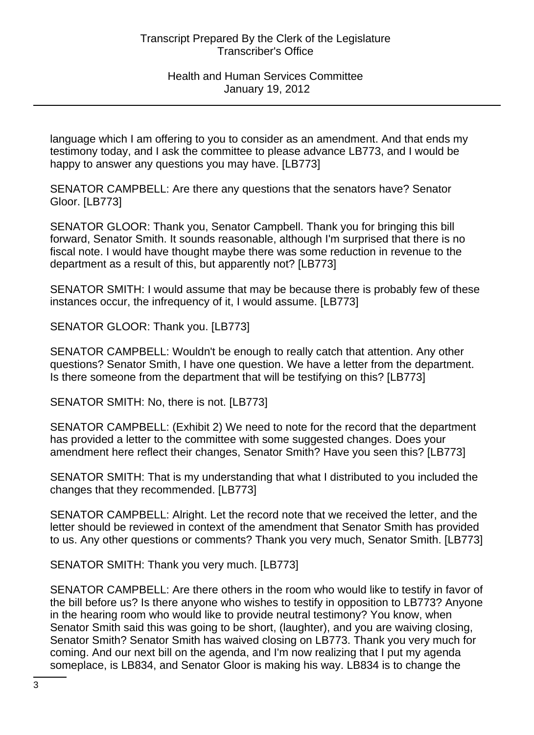language which I am offering to you to consider as an amendment. And that ends my testimony today, and I ask the committee to please advance LB773, and I would be happy to answer any questions you may have. [LB773]

SENATOR CAMPBELL: Are there any questions that the senators have? Senator Gloor. [LB773]

SENATOR GLOOR: Thank you, Senator Campbell. Thank you for bringing this bill forward, Senator Smith. It sounds reasonable, although I'm surprised that there is no fiscal note. I would have thought maybe there was some reduction in revenue to the department as a result of this, but apparently not? [LB773]

SENATOR SMITH: I would assume that may be because there is probably few of these instances occur, the infrequency of it, I would assume. [LB773]

SENATOR GLOOR: Thank you. [LB773]

SENATOR CAMPBELL: Wouldn't be enough to really catch that attention. Any other questions? Senator Smith, I have one question. We have a letter from the department. Is there someone from the department that will be testifying on this? [LB773]

SENATOR SMITH: No, there is not. [LB773]

SENATOR CAMPBELL: (Exhibit 2) We need to note for the record that the department has provided a letter to the committee with some suggested changes. Does your amendment here reflect their changes, Senator Smith? Have you seen this? [LB773]

SENATOR SMITH: That is my understanding that what I distributed to you included the changes that they recommended. [LB773]

SENATOR CAMPBELL: Alright. Let the record note that we received the letter, and the letter should be reviewed in context of the amendment that Senator Smith has provided to us. Any other questions or comments? Thank you very much, Senator Smith. [LB773]

SENATOR SMITH: Thank you very much. [LB773]

SENATOR CAMPBELL: Are there others in the room who would like to testify in favor of the bill before us? Is there anyone who wishes to testify in opposition to LB773? Anyone in the hearing room who would like to provide neutral testimony? You know, when Senator Smith said this was going to be short, (laughter), and you are waiving closing, Senator Smith? Senator Smith has waived closing on LB773. Thank you very much for coming. And our next bill on the agenda, and I'm now realizing that I put my agenda someplace, is LB834, and Senator Gloor is making his way. LB834 is to change the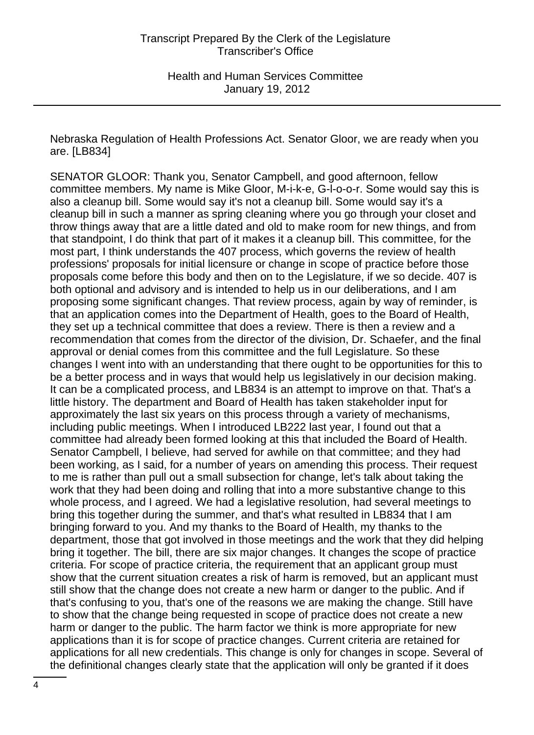Nebraska Regulation of Health Professions Act. Senator Gloor, we are ready when you are. [LB834]

SENATOR GLOOR: Thank you, Senator Campbell, and good afternoon, fellow committee members. My name is Mike Gloor, M-i-k-e, G-l-o-o-r. Some would say this is also a cleanup bill. Some would say it's not a cleanup bill. Some would say it's a cleanup bill in such a manner as spring cleaning where you go through your closet and throw things away that are a little dated and old to make room for new things, and from that standpoint, I do think that part of it makes it a cleanup bill. This committee, for the most part, I think understands the 407 process, which governs the review of health professions' proposals for initial licensure or change in scope of practice before those proposals come before this body and then on to the Legislature, if we so decide. 407 is both optional and advisory and is intended to help us in our deliberations, and I am proposing some significant changes. That review process, again by way of reminder, is that an application comes into the Department of Health, goes to the Board of Health, they set up a technical committee that does a review. There is then a review and a recommendation that comes from the director of the division, Dr. Schaefer, and the final approval or denial comes from this committee and the full Legislature. So these changes I went into with an understanding that there ought to be opportunities for this to be a better process and in ways that would help us legislatively in our decision making. It can be a complicated process, and LB834 is an attempt to improve on that. That's a little history. The department and Board of Health has taken stakeholder input for approximately the last six years on this process through a variety of mechanisms, including public meetings. When I introduced LB222 last year, I found out that a committee had already been formed looking at this that included the Board of Health. Senator Campbell, I believe, had served for awhile on that committee; and they had been working, as I said, for a number of years on amending this process. Their request to me is rather than pull out a small subsection for change, let's talk about taking the work that they had been doing and rolling that into a more substantive change to this whole process, and I agreed. We had a legislative resolution, had several meetings to bring this together during the summer, and that's what resulted in LB834 that I am bringing forward to you. And my thanks to the Board of Health, my thanks to the department, those that got involved in those meetings and the work that they did helping bring it together. The bill, there are six major changes. It changes the scope of practice criteria. For scope of practice criteria, the requirement that an applicant group must show that the current situation creates a risk of harm is removed, but an applicant must still show that the change does not create a new harm or danger to the public. And if that's confusing to you, that's one of the reasons we are making the change. Still have to show that the change being requested in scope of practice does not create a new harm or danger to the public. The harm factor we think is more appropriate for new applications than it is for scope of practice changes. Current criteria are retained for applications for all new credentials. This change is only for changes in scope. Several of the definitional changes clearly state that the application will only be granted if it does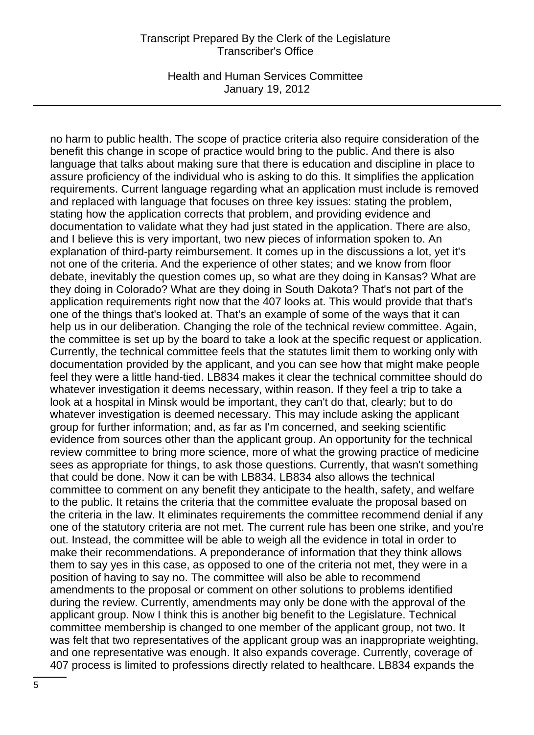Health and Human Services Committee January 19, 2012

no harm to public health. The scope of practice criteria also require consideration of the benefit this change in scope of practice would bring to the public. And there is also language that talks about making sure that there is education and discipline in place to assure proficiency of the individual who is asking to do this. It simplifies the application requirements. Current language regarding what an application must include is removed and replaced with language that focuses on three key issues: stating the problem, stating how the application corrects that problem, and providing evidence and documentation to validate what they had just stated in the application. There are also, and I believe this is very important, two new pieces of information spoken to. An explanation of third-party reimbursement. It comes up in the discussions a lot, yet it's not one of the criteria. And the experience of other states; and we know from floor debate, inevitably the question comes up, so what are they doing in Kansas? What are they doing in Colorado? What are they doing in South Dakota? That's not part of the application requirements right now that the 407 looks at. This would provide that that's one of the things that's looked at. That's an example of some of the ways that it can help us in our deliberation. Changing the role of the technical review committee. Again, the committee is set up by the board to take a look at the specific request or application. Currently, the technical committee feels that the statutes limit them to working only with documentation provided by the applicant, and you can see how that might make people feel they were a little hand-tied. LB834 makes it clear the technical committee should do whatever investigation it deems necessary, within reason. If they feel a trip to take a look at a hospital in Minsk would be important, they can't do that, clearly; but to do whatever investigation is deemed necessary. This may include asking the applicant group for further information; and, as far as I'm concerned, and seeking scientific evidence from sources other than the applicant group. An opportunity for the technical review committee to bring more science, more of what the growing practice of medicine sees as appropriate for things, to ask those questions. Currently, that wasn't something that could be done. Now it can be with LB834. LB834 also allows the technical committee to comment on any benefit they anticipate to the health, safety, and welfare to the public. It retains the criteria that the committee evaluate the proposal based on the criteria in the law. It eliminates requirements the committee recommend denial if any one of the statutory criteria are not met. The current rule has been one strike, and you're out. Instead, the committee will be able to weigh all the evidence in total in order to make their recommendations. A preponderance of information that they think allows them to say yes in this case, as opposed to one of the criteria not met, they were in a position of having to say no. The committee will also be able to recommend amendments to the proposal or comment on other solutions to problems identified during the review. Currently, amendments may only be done with the approval of the applicant group. Now I think this is another big benefit to the Legislature. Technical committee membership is changed to one member of the applicant group, not two. It was felt that two representatives of the applicant group was an inappropriate weighting, and one representative was enough. It also expands coverage. Currently, coverage of 407 process is limited to professions directly related to healthcare. LB834 expands the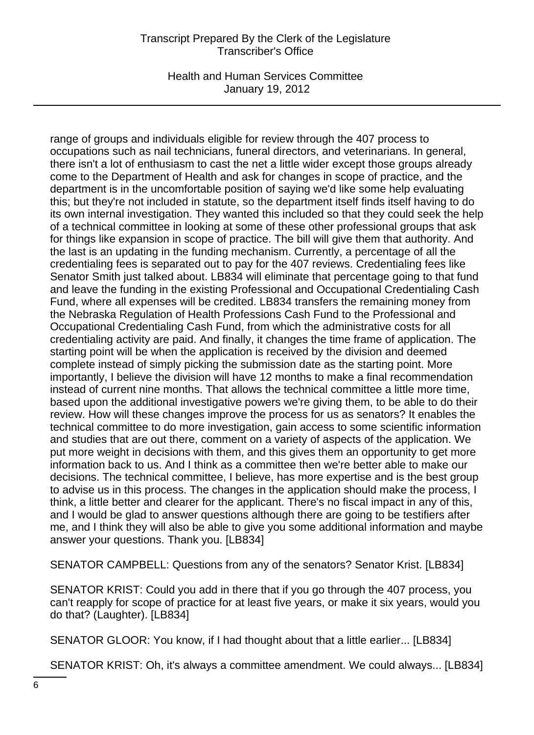Health and Human Services Committee January 19, 2012

range of groups and individuals eligible for review through the 407 process to occupations such as nail technicians, funeral directors, and veterinarians. In general, there isn't a lot of enthusiasm to cast the net a little wider except those groups already come to the Department of Health and ask for changes in scope of practice, and the department is in the uncomfortable position of saying we'd like some help evaluating this; but they're not included in statute, so the department itself finds itself having to do its own internal investigation. They wanted this included so that they could seek the help of a technical committee in looking at some of these other professional groups that ask for things like expansion in scope of practice. The bill will give them that authority. And the last is an updating in the funding mechanism. Currently, a percentage of all the credentialing fees is separated out to pay for the 407 reviews. Credentialing fees like Senator Smith just talked about. LB834 will eliminate that percentage going to that fund and leave the funding in the existing Professional and Occupational Credentialing Cash Fund, where all expenses will be credited. LB834 transfers the remaining money from the Nebraska Regulation of Health Professions Cash Fund to the Professional and Occupational Credentialing Cash Fund, from which the administrative costs for all credentialing activity are paid. And finally, it changes the time frame of application. The starting point will be when the application is received by the division and deemed complete instead of simply picking the submission date as the starting point. More importantly, I believe the division will have 12 months to make a final recommendation instead of current nine months. That allows the technical committee a little more time, based upon the additional investigative powers we're giving them, to be able to do their review. How will these changes improve the process for us as senators? It enables the technical committee to do more investigation, gain access to some scientific information and studies that are out there, comment on a variety of aspects of the application. We put more weight in decisions with them, and this gives them an opportunity to get more information back to us. And I think as a committee then we're better able to make our decisions. The technical committee, I believe, has more expertise and is the best group to advise us in this process. The changes in the application should make the process, I think, a little better and clearer for the applicant. There's no fiscal impact in any of this, and I would be glad to answer questions although there are going to be testifiers after me, and I think they will also be able to give you some additional information and maybe answer your questions. Thank you. [LB834]

SENATOR CAMPBELL: Questions from any of the senators? Senator Krist. [LB834]

SENATOR KRIST: Could you add in there that if you go through the 407 process, you can't reapply for scope of practice for at least five years, or make it six years, would you do that? (Laughter). [LB834]

SENATOR GLOOR: You know, if I had thought about that a little earlier... [LB834]

SENATOR KRIST: Oh, it's always a committee amendment. We could always... [LB834]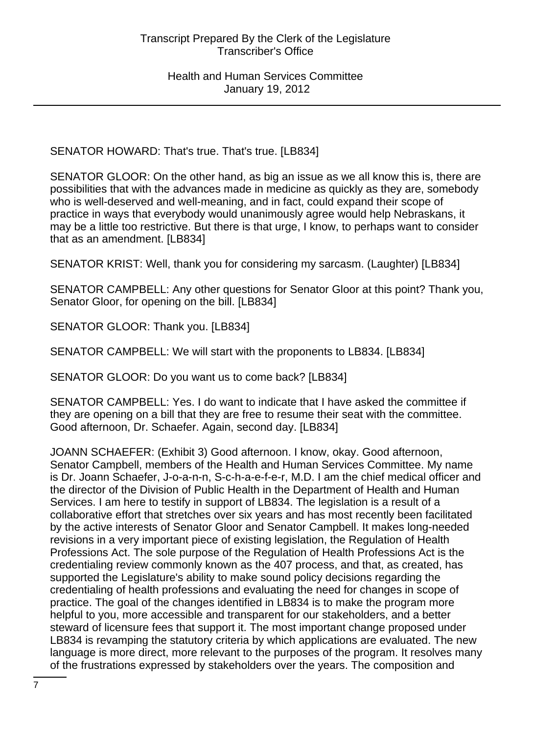SENATOR HOWARD: That's true. That's true. [LB834]

SENATOR GLOOR: On the other hand, as big an issue as we all know this is, there are possibilities that with the advances made in medicine as quickly as they are, somebody who is well-deserved and well-meaning, and in fact, could expand their scope of practice in ways that everybody would unanimously agree would help Nebraskans, it may be a little too restrictive. But there is that urge, I know, to perhaps want to consider that as an amendment. [LB834]

SENATOR KRIST: Well, thank you for considering my sarcasm. (Laughter) [LB834]

SENATOR CAMPBELL: Any other questions for Senator Gloor at this point? Thank you, Senator Gloor, for opening on the bill. [LB834]

SENATOR GLOOR: Thank you. [LB834]

SENATOR CAMPBELL: We will start with the proponents to LB834. [LB834]

SENATOR GLOOR: Do you want us to come back? [LB834]

SENATOR CAMPBELL: Yes. I do want to indicate that I have asked the committee if they are opening on a bill that they are free to resume their seat with the committee. Good afternoon, Dr. Schaefer. Again, second day. [LB834]

JOANN SCHAEFER: (Exhibit 3) Good afternoon. I know, okay. Good afternoon, Senator Campbell, members of the Health and Human Services Committee. My name is Dr. Joann Schaefer, J-o-a-n-n, S-c-h-a-e-f-e-r, M.D. I am the chief medical officer and the director of the Division of Public Health in the Department of Health and Human Services. I am here to testify in support of LB834. The legislation is a result of a collaborative effort that stretches over six years and has most recently been facilitated by the active interests of Senator Gloor and Senator Campbell. It makes long-needed revisions in a very important piece of existing legislation, the Regulation of Health Professions Act. The sole purpose of the Regulation of Health Professions Act is the credentialing review commonly known as the 407 process, and that, as created, has supported the Legislature's ability to make sound policy decisions regarding the credentialing of health professions and evaluating the need for changes in scope of practice. The goal of the changes identified in LB834 is to make the program more helpful to you, more accessible and transparent for our stakeholders, and a better steward of licensure fees that support it. The most important change proposed under LB834 is revamping the statutory criteria by which applications are evaluated. The new language is more direct, more relevant to the purposes of the program. It resolves many of the frustrations expressed by stakeholders over the years. The composition and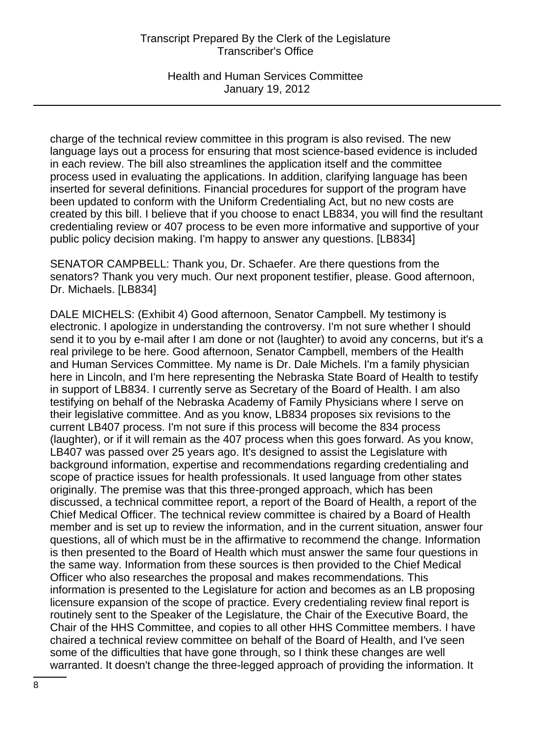Health and Human Services Committee January 19, 2012

charge of the technical review committee in this program is also revised. The new language lays out a process for ensuring that most science-based evidence is included in each review. The bill also streamlines the application itself and the committee process used in evaluating the applications. In addition, clarifying language has been inserted for several definitions. Financial procedures for support of the program have been updated to conform with the Uniform Credentialing Act, but no new costs are created by this bill. I believe that if you choose to enact LB834, you will find the resultant credentialing review or 407 process to be even more informative and supportive of your public policy decision making. I'm happy to answer any questions. [LB834]

SENATOR CAMPBELL: Thank you, Dr. Schaefer. Are there questions from the senators? Thank you very much. Our next proponent testifier, please. Good afternoon, Dr. Michaels. [LB834]

DALE MICHELS: (Exhibit 4) Good afternoon, Senator Campbell. My testimony is electronic. I apologize in understanding the controversy. I'm not sure whether I should send it to you by e-mail after I am done or not (laughter) to avoid any concerns, but it's a real privilege to be here. Good afternoon, Senator Campbell, members of the Health and Human Services Committee. My name is Dr. Dale Michels. I'm a family physician here in Lincoln, and I'm here representing the Nebraska State Board of Health to testify in support of LB834. I currently serve as Secretary of the Board of Health. I am also testifying on behalf of the Nebraska Academy of Family Physicians where I serve on their legislative committee. And as you know, LB834 proposes six revisions to the current LB407 process. I'm not sure if this process will become the 834 process (laughter), or if it will remain as the 407 process when this goes forward. As you know, LB407 was passed over 25 years ago. It's designed to assist the Legislature with background information, expertise and recommendations regarding credentialing and scope of practice issues for health professionals. It used language from other states originally. The premise was that this three-pronged approach, which has been discussed, a technical committee report, a report of the Board of Health, a report of the Chief Medical Officer. The technical review committee is chaired by a Board of Health member and is set up to review the information, and in the current situation, answer four questions, all of which must be in the affirmative to recommend the change. Information is then presented to the Board of Health which must answer the same four questions in the same way. Information from these sources is then provided to the Chief Medical Officer who also researches the proposal and makes recommendations. This information is presented to the Legislature for action and becomes as an LB proposing licensure expansion of the scope of practice. Every credentialing review final report is routinely sent to the Speaker of the Legislature, the Chair of the Executive Board, the Chair of the HHS Committee, and copies to all other HHS Committee members. I have chaired a technical review committee on behalf of the Board of Health, and I've seen some of the difficulties that have gone through, so I think these changes are well warranted. It doesn't change the three-legged approach of providing the information. It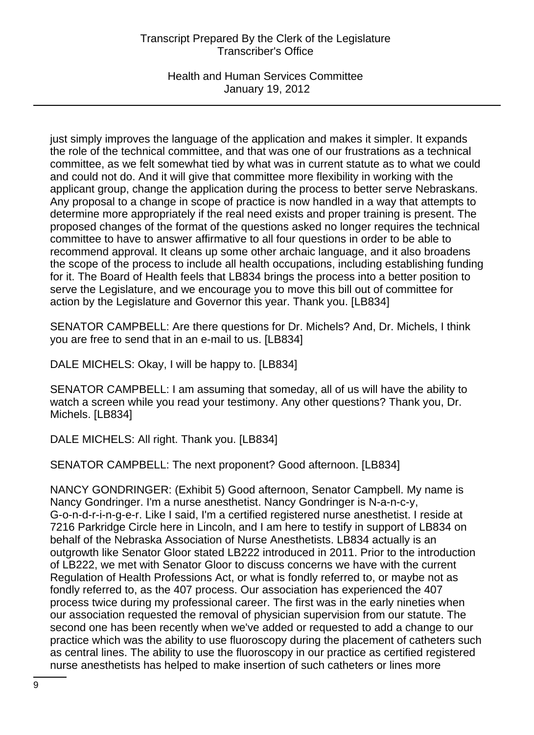Health and Human Services Committee January 19, 2012

just simply improves the language of the application and makes it simpler. It expands the role of the technical committee, and that was one of our frustrations as a technical committee, as we felt somewhat tied by what was in current statute as to what we could and could not do. And it will give that committee more flexibility in working with the applicant group, change the application during the process to better serve Nebraskans. Any proposal to a change in scope of practice is now handled in a way that attempts to determine more appropriately if the real need exists and proper training is present. The proposed changes of the format of the questions asked no longer requires the technical committee to have to answer affirmative to all four questions in order to be able to recommend approval. It cleans up some other archaic language, and it also broadens the scope of the process to include all health occupations, including establishing funding for it. The Board of Health feels that LB834 brings the process into a better position to serve the Legislature, and we encourage you to move this bill out of committee for action by the Legislature and Governor this year. Thank you. [LB834]

SENATOR CAMPBELL: Are there questions for Dr. Michels? And, Dr. Michels, I think you are free to send that in an e-mail to us. [LB834]

DALE MICHELS: Okay, I will be happy to. [LB834]

SENATOR CAMPBELL: I am assuming that someday, all of us will have the ability to watch a screen while you read your testimony. Any other questions? Thank you, Dr. Michels. [LB834]

DALE MICHELS: All right. Thank you. [LB834]

SENATOR CAMPBELL: The next proponent? Good afternoon. [LB834]

NANCY GONDRINGER: (Exhibit 5) Good afternoon, Senator Campbell. My name is Nancy Gondringer. I'm a nurse anesthetist. Nancy Gondringer is N-a-n-c-y, G-o-n-d-r-i-n-g-e-r. Like I said, I'm a certified registered nurse anesthetist. I reside at 7216 Parkridge Circle here in Lincoln, and I am here to testify in support of LB834 on behalf of the Nebraska Association of Nurse Anesthetists. LB834 actually is an outgrowth like Senator Gloor stated LB222 introduced in 2011. Prior to the introduction of LB222, we met with Senator Gloor to discuss concerns we have with the current Regulation of Health Professions Act, or what is fondly referred to, or maybe not as fondly referred to, as the 407 process. Our association has experienced the 407 process twice during my professional career. The first was in the early nineties when our association requested the removal of physician supervision from our statute. The second one has been recently when we've added or requested to add a change to our practice which was the ability to use fluoroscopy during the placement of catheters such as central lines. The ability to use the fluoroscopy in our practice as certified registered nurse anesthetists has helped to make insertion of such catheters or lines more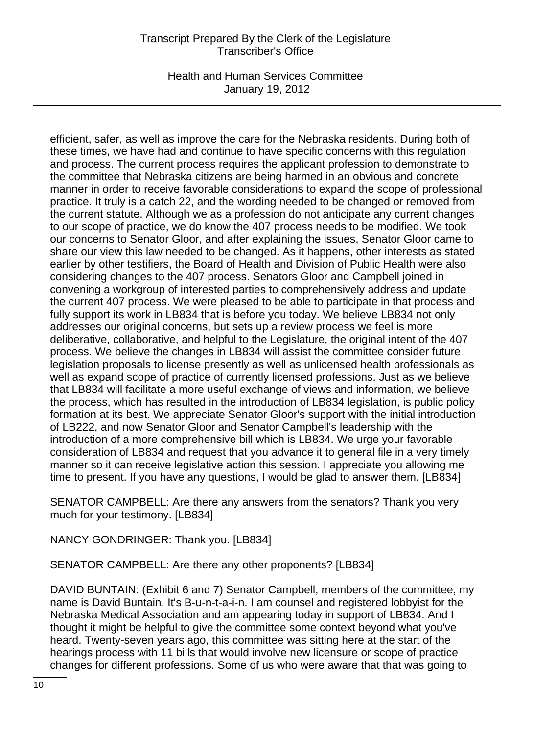Health and Human Services Committee January 19, 2012

efficient, safer, as well as improve the care for the Nebraska residents. During both of these times, we have had and continue to have specific concerns with this regulation and process. The current process requires the applicant profession to demonstrate to the committee that Nebraska citizens are being harmed in an obvious and concrete manner in order to receive favorable considerations to expand the scope of professional practice. It truly is a catch 22, and the wording needed to be changed or removed from the current statute. Although we as a profession do not anticipate any current changes to our scope of practice, we do know the 407 process needs to be modified. We took our concerns to Senator Gloor, and after explaining the issues, Senator Gloor came to share our view this law needed to be changed. As it happens, other interests as stated earlier by other testifiers, the Board of Health and Division of Public Health were also considering changes to the 407 process. Senators Gloor and Campbell joined in convening a workgroup of interested parties to comprehensively address and update the current 407 process. We were pleased to be able to participate in that process and fully support its work in LB834 that is before you today. We believe LB834 not only addresses our original concerns, but sets up a review process we feel is more deliberative, collaborative, and helpful to the Legislature, the original intent of the 407 process. We believe the changes in LB834 will assist the committee consider future legislation proposals to license presently as well as unlicensed health professionals as well as expand scope of practice of currently licensed professions. Just as we believe that LB834 will facilitate a more useful exchange of views and information, we believe the process, which has resulted in the introduction of LB834 legislation, is public policy formation at its best. We appreciate Senator Gloor's support with the initial introduction of LB222, and now Senator Gloor and Senator Campbell's leadership with the introduction of a more comprehensive bill which is LB834. We urge your favorable consideration of LB834 and request that you advance it to general file in a very timely manner so it can receive legislative action this session. I appreciate you allowing me time to present. If you have any questions, I would be glad to answer them. [LB834]

SENATOR CAMPBELL: Are there any answers from the senators? Thank you very much for your testimony. [LB834]

NANCY GONDRINGER: Thank you. [LB834]

SENATOR CAMPBELL: Are there any other proponents? [LB834]

DAVID BUNTAIN: (Exhibit 6 and 7) Senator Campbell, members of the committee, my name is David Buntain. It's B-u-n-t-a-i-n. I am counsel and registered lobbyist for the Nebraska Medical Association and am appearing today in support of LB834. And I thought it might be helpful to give the committee some context beyond what you've heard. Twenty-seven years ago, this committee was sitting here at the start of the hearings process with 11 bills that would involve new licensure or scope of practice changes for different professions. Some of us who were aware that that was going to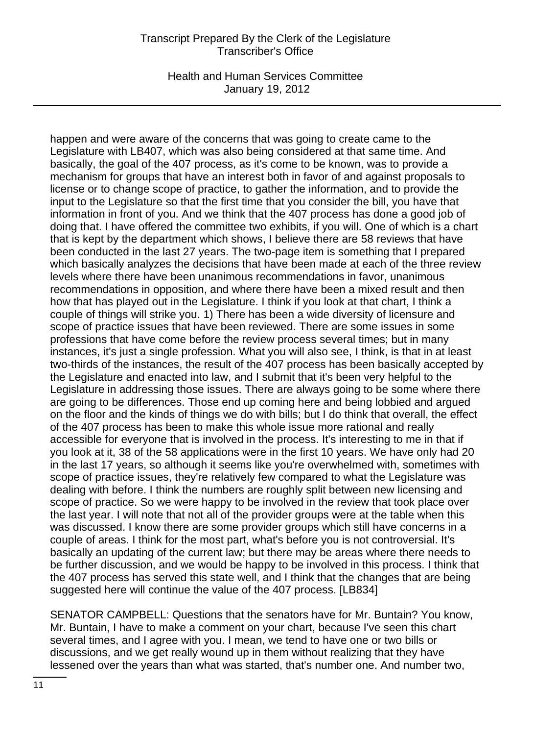Health and Human Services Committee January 19, 2012

happen and were aware of the concerns that was going to create came to the Legislature with LB407, which was also being considered at that same time. And basically, the goal of the 407 process, as it's come to be known, was to provide a mechanism for groups that have an interest both in favor of and against proposals to license or to change scope of practice, to gather the information, and to provide the input to the Legislature so that the first time that you consider the bill, you have that information in front of you. And we think that the 407 process has done a good job of doing that. I have offered the committee two exhibits, if you will. One of which is a chart that is kept by the department which shows, I believe there are 58 reviews that have been conducted in the last 27 years. The two-page item is something that I prepared which basically analyzes the decisions that have been made at each of the three review levels where there have been unanimous recommendations in favor, unanimous recommendations in opposition, and where there have been a mixed result and then how that has played out in the Legislature. I think if you look at that chart, I think a couple of things will strike you. 1) There has been a wide diversity of licensure and scope of practice issues that have been reviewed. There are some issues in some professions that have come before the review process several times; but in many instances, it's just a single profession. What you will also see, I think, is that in at least two-thirds of the instances, the result of the 407 process has been basically accepted by the Legislature and enacted into law, and I submit that it's been very helpful to the Legislature in addressing those issues. There are always going to be some where there are going to be differences. Those end up coming here and being lobbied and argued on the floor and the kinds of things we do with bills; but I do think that overall, the effect of the 407 process has been to make this whole issue more rational and really accessible for everyone that is involved in the process. It's interesting to me in that if you look at it, 38 of the 58 applications were in the first 10 years. We have only had 20 in the last 17 years, so although it seems like you're overwhelmed with, sometimes with scope of practice issues, they're relatively few compared to what the Legislature was dealing with before. I think the numbers are roughly split between new licensing and scope of practice. So we were happy to be involved in the review that took place over the last year. I will note that not all of the provider groups were at the table when this was discussed. I know there are some provider groups which still have concerns in a couple of areas. I think for the most part, what's before you is not controversial. It's basically an updating of the current law; but there may be areas where there needs to be further discussion, and we would be happy to be involved in this process. I think that the 407 process has served this state well, and I think that the changes that are being suggested here will continue the value of the 407 process. [LB834]

SENATOR CAMPBELL: Questions that the senators have for Mr. Buntain? You know, Mr. Buntain, I have to make a comment on your chart, because I've seen this chart several times, and I agree with you. I mean, we tend to have one or two bills or discussions, and we get really wound up in them without realizing that they have lessened over the years than what was started, that's number one. And number two,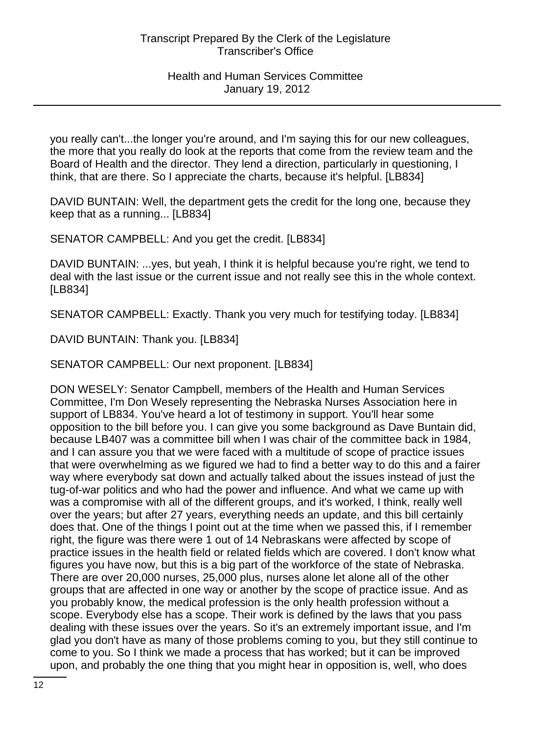you really can't...the longer you're around, and I'm saying this for our new colleagues, the more that you really do look at the reports that come from the review team and the Board of Health and the director. They lend a direction, particularly in questioning, I think, that are there. So I appreciate the charts, because it's helpful. [LB834]

DAVID BUNTAIN: Well, the department gets the credit for the long one, because they keep that as a running... [LB834]

SENATOR CAMPBELL: And you get the credit. [LB834]

DAVID BUNTAIN: ...yes, but yeah, I think it is helpful because you're right, we tend to deal with the last issue or the current issue and not really see this in the whole context. [LB834]

SENATOR CAMPBELL: Exactly. Thank you very much for testifying today. [LB834]

DAVID BUNTAIN: Thank you. [LB834]

SENATOR CAMPBELL: Our next proponent. [LB834]

DON WESELY: Senator Campbell, members of the Health and Human Services Committee, I'm Don Wesely representing the Nebraska Nurses Association here in support of LB834. You've heard a lot of testimony in support. You'll hear some opposition to the bill before you. I can give you some background as Dave Buntain did, because LB407 was a committee bill when I was chair of the committee back in 1984, and I can assure you that we were faced with a multitude of scope of practice issues that were overwhelming as we figured we had to find a better way to do this and a fairer way where everybody sat down and actually talked about the issues instead of just the tug-of-war politics and who had the power and influence. And what we came up with was a compromise with all of the different groups, and it's worked, I think, really well over the years; but after 27 years, everything needs an update, and this bill certainly does that. One of the things I point out at the time when we passed this, if I remember right, the figure was there were 1 out of 14 Nebraskans were affected by scope of practice issues in the health field or related fields which are covered. I don't know what figures you have now, but this is a big part of the workforce of the state of Nebraska. There are over 20,000 nurses, 25,000 plus, nurses alone let alone all of the other groups that are affected in one way or another by the scope of practice issue. And as you probably know, the medical profession is the only health profession without a scope. Everybody else has a scope. Their work is defined by the laws that you pass dealing with these issues over the years. So it's an extremely important issue, and I'm glad you don't have as many of those problems coming to you, but they still continue to come to you. So I think we made a process that has worked; but it can be improved upon, and probably the one thing that you might hear in opposition is, well, who does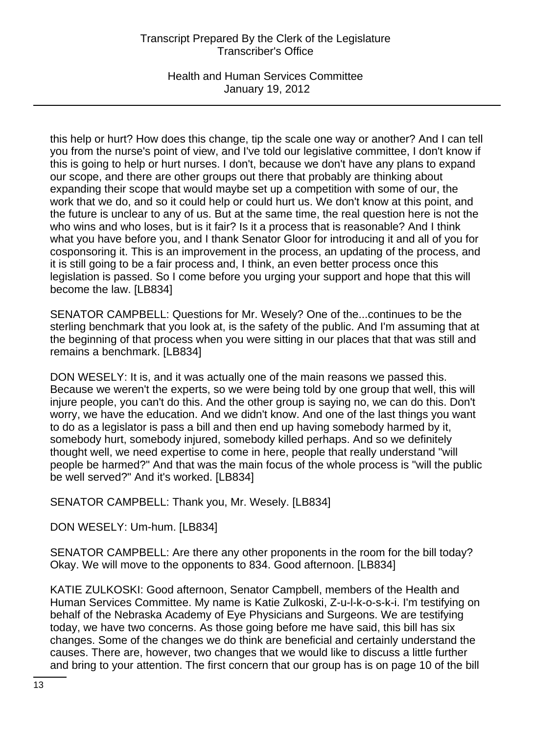Health and Human Services Committee January 19, 2012

this help or hurt? How does this change, tip the scale one way or another? And I can tell you from the nurse's point of view, and I've told our legislative committee, I don't know if this is going to help or hurt nurses. I don't, because we don't have any plans to expand our scope, and there are other groups out there that probably are thinking about expanding their scope that would maybe set up a competition with some of our, the work that we do, and so it could help or could hurt us. We don't know at this point, and the future is unclear to any of us. But at the same time, the real question here is not the who wins and who loses, but is it fair? Is it a process that is reasonable? And I think what you have before you, and I thank Senator Gloor for introducing it and all of you for cosponsoring it. This is an improvement in the process, an updating of the process, and it is still going to be a fair process and, I think, an even better process once this legislation is passed. So I come before you urging your support and hope that this will become the law. [LB834]

SENATOR CAMPBELL: Questions for Mr. Wesely? One of the...continues to be the sterling benchmark that you look at, is the safety of the public. And I'm assuming that at the beginning of that process when you were sitting in our places that that was still and remains a benchmark. [LB834]

DON WESELY: It is, and it was actually one of the main reasons we passed this. Because we weren't the experts, so we were being told by one group that well, this will injure people, you can't do this. And the other group is saying no, we can do this. Don't worry, we have the education. And we didn't know. And one of the last things you want to do as a legislator is pass a bill and then end up having somebody harmed by it, somebody hurt, somebody injured, somebody killed perhaps. And so we definitely thought well, we need expertise to come in here, people that really understand "will people be harmed?" And that was the main focus of the whole process is "will the public be well served?" And it's worked. [LB834]

SENATOR CAMPBELL: Thank you, Mr. Wesely. [LB834]

DON WESELY: Um-hum. [LB834]

SENATOR CAMPBELL: Are there any other proponents in the room for the bill today? Okay. We will move to the opponents to 834. Good afternoon. [LB834]

KATIE ZULKOSKI: Good afternoon, Senator Campbell, members of the Health and Human Services Committee. My name is Katie Zulkoski, Z-u-l-k-o-s-k-i. I'm testifying on behalf of the Nebraska Academy of Eye Physicians and Surgeons. We are testifying today, we have two concerns. As those going before me have said, this bill has six changes. Some of the changes we do think are beneficial and certainly understand the causes. There are, however, two changes that we would like to discuss a little further and bring to your attention. The first concern that our group has is on page 10 of the bill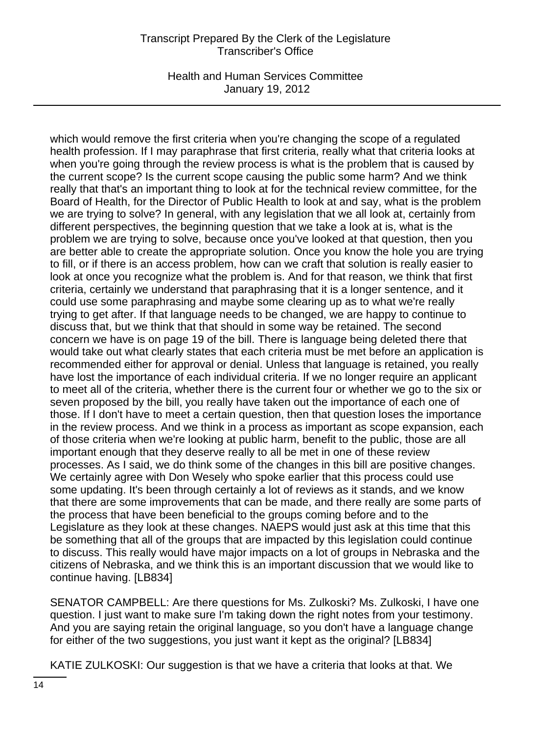Health and Human Services Committee January 19, 2012

which would remove the first criteria when you're changing the scope of a regulated health profession. If I may paraphrase that first criteria, really what that criteria looks at when you're going through the review process is what is the problem that is caused by the current scope? Is the current scope causing the public some harm? And we think really that that's an important thing to look at for the technical review committee, for the Board of Health, for the Director of Public Health to look at and say, what is the problem we are trying to solve? In general, with any legislation that we all look at, certainly from different perspectives, the beginning question that we take a look at is, what is the problem we are trying to solve, because once you've looked at that question, then you are better able to create the appropriate solution. Once you know the hole you are trying to fill, or if there is an access problem, how can we craft that solution is really easier to look at once you recognize what the problem is. And for that reason, we think that first criteria, certainly we understand that paraphrasing that it is a longer sentence, and it could use some paraphrasing and maybe some clearing up as to what we're really trying to get after. If that language needs to be changed, we are happy to continue to discuss that, but we think that that should in some way be retained. The second concern we have is on page 19 of the bill. There is language being deleted there that would take out what clearly states that each criteria must be met before an application is recommended either for approval or denial. Unless that language is retained, you really have lost the importance of each individual criteria. If we no longer require an applicant to meet all of the criteria, whether there is the current four or whether we go to the six or seven proposed by the bill, you really have taken out the importance of each one of those. If I don't have to meet a certain question, then that question loses the importance in the review process. And we think in a process as important as scope expansion, each of those criteria when we're looking at public harm, benefit to the public, those are all important enough that they deserve really to all be met in one of these review processes. As I said, we do think some of the changes in this bill are positive changes. We certainly agree with Don Wesely who spoke earlier that this process could use some updating. It's been through certainly a lot of reviews as it stands, and we know that there are some improvements that can be made, and there really are some parts of the process that have been beneficial to the groups coming before and to the Legislature as they look at these changes. NAEPS would just ask at this time that this be something that all of the groups that are impacted by this legislation could continue to discuss. This really would have major impacts on a lot of groups in Nebraska and the citizens of Nebraska, and we think this is an important discussion that we would like to continue having. [LB834]

SENATOR CAMPBELL: Are there questions for Ms. Zulkoski? Ms. Zulkoski, I have one question. I just want to make sure I'm taking down the right notes from your testimony. And you are saying retain the original language, so you don't have a language change for either of the two suggestions, you just want it kept as the original? [LB834]

KATIE ZULKOSKI: Our suggestion is that we have a criteria that looks at that. We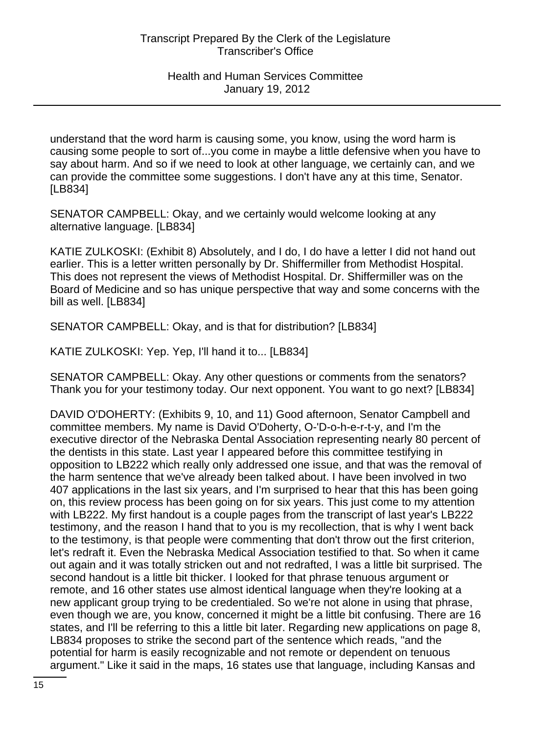understand that the word harm is causing some, you know, using the word harm is causing some people to sort of...you come in maybe a little defensive when you have to say about harm. And so if we need to look at other language, we certainly can, and we can provide the committee some suggestions. I don't have any at this time, Senator. [LB834]

SENATOR CAMPBELL: Okay, and we certainly would welcome looking at any alternative language. [LB834]

KATIE ZULKOSKI: (Exhibit 8) Absolutely, and I do, I do have a letter I did not hand out earlier. This is a letter written personally by Dr. Shiffermiller from Methodist Hospital. This does not represent the views of Methodist Hospital. Dr. Shiffermiller was on the Board of Medicine and so has unique perspective that way and some concerns with the bill as well. [LB834]

SENATOR CAMPBELL: Okay, and is that for distribution? [LB834]

KATIE ZULKOSKI: Yep. Yep, I'll hand it to... [LB834]

SENATOR CAMPBELL: Okay. Any other questions or comments from the senators? Thank you for your testimony today. Our next opponent. You want to go next? [LB834]

DAVID O'DOHERTY: (Exhibits 9, 10, and 11) Good afternoon, Senator Campbell and committee members. My name is David O'Doherty, O-'D-o-h-e-r-t-y, and I'm the executive director of the Nebraska Dental Association representing nearly 80 percent of the dentists in this state. Last year I appeared before this committee testifying in opposition to LB222 which really only addressed one issue, and that was the removal of the harm sentence that we've already been talked about. I have been involved in two 407 applications in the last six years, and I'm surprised to hear that this has been going on, this review process has been going on for six years. This just come to my attention with LB222. My first handout is a couple pages from the transcript of last year's LB222 testimony, and the reason I hand that to you is my recollection, that is why I went back to the testimony, is that people were commenting that don't throw out the first criterion, let's redraft it. Even the Nebraska Medical Association testified to that. So when it came out again and it was totally stricken out and not redrafted, I was a little bit surprised. The second handout is a little bit thicker. I looked for that phrase tenuous argument or remote, and 16 other states use almost identical language when they're looking at a new applicant group trying to be credentialed. So we're not alone in using that phrase, even though we are, you know, concerned it might be a little bit confusing. There are 16 states, and I'll be referring to this a little bit later. Regarding new applications on page 8, LB834 proposes to strike the second part of the sentence which reads, "and the potential for harm is easily recognizable and not remote or dependent on tenuous argument." Like it said in the maps, 16 states use that language, including Kansas and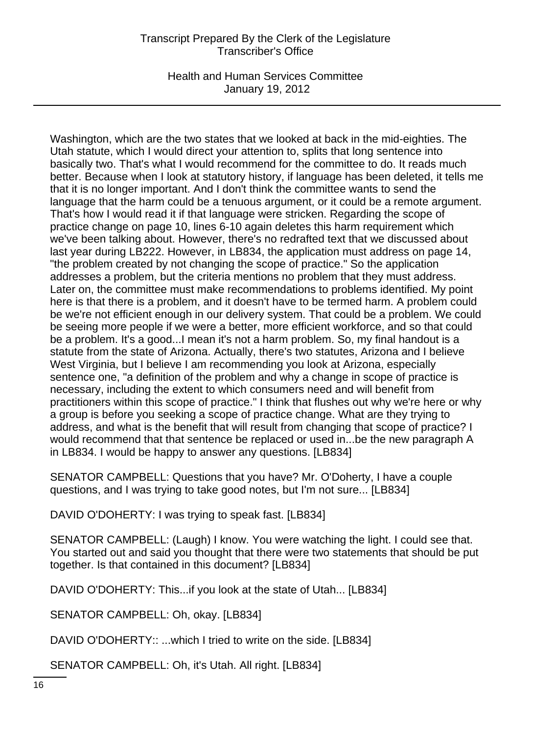Health and Human Services Committee January 19, 2012

Washington, which are the two states that we looked at back in the mid-eighties. The Utah statute, which I would direct your attention to, splits that long sentence into basically two. That's what I would recommend for the committee to do. It reads much better. Because when I look at statutory history, if language has been deleted, it tells me that it is no longer important. And I don't think the committee wants to send the language that the harm could be a tenuous argument, or it could be a remote argument. That's how I would read it if that language were stricken. Regarding the scope of practice change on page 10, lines 6-10 again deletes this harm requirement which we've been talking about. However, there's no redrafted text that we discussed about last year during LB222. However, in LB834, the application must address on page 14, "the problem created by not changing the scope of practice." So the application addresses a problem, but the criteria mentions no problem that they must address. Later on, the committee must make recommendations to problems identified. My point here is that there is a problem, and it doesn't have to be termed harm. A problem could be we're not efficient enough in our delivery system. That could be a problem. We could be seeing more people if we were a better, more efficient workforce, and so that could be a problem. It's a good...I mean it's not a harm problem. So, my final handout is a statute from the state of Arizona. Actually, there's two statutes, Arizona and I believe West Virginia, but I believe I am recommending you look at Arizona, especially sentence one, "a definition of the problem and why a change in scope of practice is necessary, including the extent to which consumers need and will benefit from practitioners within this scope of practice." I think that flushes out why we're here or why a group is before you seeking a scope of practice change. What are they trying to address, and what is the benefit that will result from changing that scope of practice? I would recommend that that sentence be replaced or used in...be the new paragraph A in LB834. I would be happy to answer any questions. [LB834]

SENATOR CAMPBELL: Questions that you have? Mr. O'Doherty, I have a couple questions, and I was trying to take good notes, but I'm not sure... [LB834]

DAVID O'DOHERTY: I was trying to speak fast. [LB834]

SENATOR CAMPBELL: (Laugh) I know. You were watching the light. I could see that. You started out and said you thought that there were two statements that should be put together. Is that contained in this document? [LB834]

DAVID O'DOHERTY: This...if you look at the state of Utah... [LB834]

SENATOR CAMPBELL: Oh, okay. [LB834]

DAVID O'DOHERTY:: ...which I tried to write on the side. [LB834]

SENATOR CAMPBELL: Oh, it's Utah. All right. [LB834]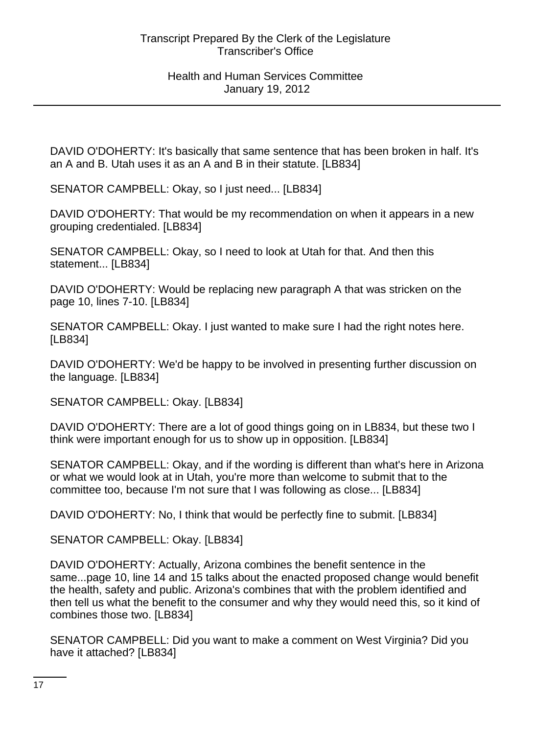DAVID O'DOHERTY: It's basically that same sentence that has been broken in half. It's an A and B. Utah uses it as an A and B in their statute. [LB834]

SENATOR CAMPBELL: Okay, so I just need... [LB834]

DAVID O'DOHERTY: That would be my recommendation on when it appears in a new grouping credentialed. [LB834]

SENATOR CAMPBELL: Okay, so I need to look at Utah for that. And then this statement... [LB834]

DAVID O'DOHERTY: Would be replacing new paragraph A that was stricken on the page 10, lines 7-10. [LB834]

SENATOR CAMPBELL: Okay. I just wanted to make sure I had the right notes here. [LB834]

DAVID O'DOHERTY: We'd be happy to be involved in presenting further discussion on the language. [LB834]

SENATOR CAMPBELL: Okay. [LB834]

DAVID O'DOHERTY: There are a lot of good things going on in LB834, but these two I think were important enough for us to show up in opposition. [LB834]

SENATOR CAMPBELL: Okay, and if the wording is different than what's here in Arizona or what we would look at in Utah, you're more than welcome to submit that to the committee too, because I'm not sure that I was following as close... [LB834]

DAVID O'DOHERTY: No, I think that would be perfectly fine to submit. [LB834]

SENATOR CAMPBELL: Okay. [LB834]

DAVID O'DOHERTY: Actually, Arizona combines the benefit sentence in the same...page 10, line 14 and 15 talks about the enacted proposed change would benefit the health, safety and public. Arizona's combines that with the problem identified and then tell us what the benefit to the consumer and why they would need this, so it kind of combines those two. [LB834]

SENATOR CAMPBELL: Did you want to make a comment on West Virginia? Did you have it attached? [LB834]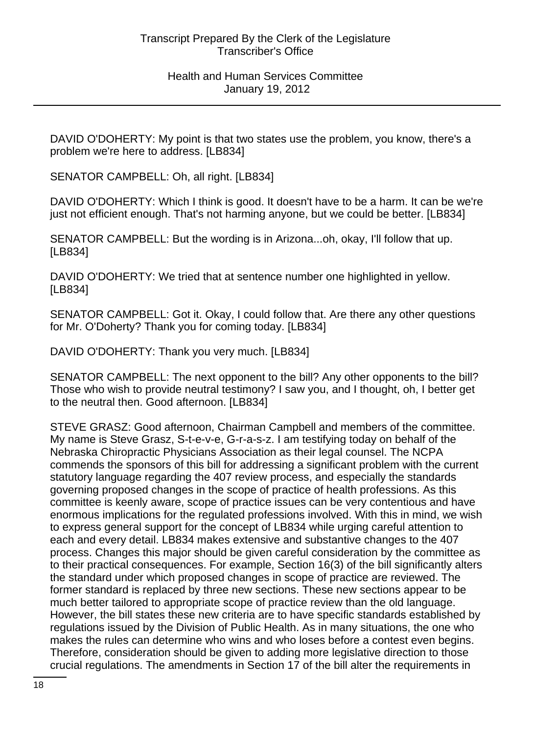DAVID O'DOHERTY: My point is that two states use the problem, you know, there's a problem we're here to address. [LB834]

SENATOR CAMPBELL: Oh, all right. [LB834]

DAVID O'DOHERTY: Which I think is good. It doesn't have to be a harm. It can be we're just not efficient enough. That's not harming anyone, but we could be better. [LB834]

SENATOR CAMPBELL: But the wording is in Arizona...oh, okay, I'll follow that up. [LB834]

DAVID O'DOHERTY: We tried that at sentence number one highlighted in yellow. [LB834]

SENATOR CAMPBELL: Got it. Okay, I could follow that. Are there any other questions for Mr. O'Doherty? Thank you for coming today. [LB834]

DAVID O'DOHERTY: Thank you very much. [LB834]

SENATOR CAMPBELL: The next opponent to the bill? Any other opponents to the bill? Those who wish to provide neutral testimony? I saw you, and I thought, oh, I better get to the neutral then. Good afternoon. [LB834]

STEVE GRASZ: Good afternoon, Chairman Campbell and members of the committee. My name is Steve Grasz, S-t-e-v-e, G-r-a-s-z. I am testifying today on behalf of the Nebraska Chiropractic Physicians Association as their legal counsel. The NCPA commends the sponsors of this bill for addressing a significant problem with the current statutory language regarding the 407 review process, and especially the standards governing proposed changes in the scope of practice of health professions. As this committee is keenly aware, scope of practice issues can be very contentious and have enormous implications for the regulated professions involved. With this in mind, we wish to express general support for the concept of LB834 while urging careful attention to each and every detail. LB834 makes extensive and substantive changes to the 407 process. Changes this major should be given careful consideration by the committee as to their practical consequences. For example, Section 16(3) of the bill significantly alters the standard under which proposed changes in scope of practice are reviewed. The former standard is replaced by three new sections. These new sections appear to be much better tailored to appropriate scope of practice review than the old language. However, the bill states these new criteria are to have specific standards established by regulations issued by the Division of Public Health. As in many situations, the one who makes the rules can determine who wins and who loses before a contest even begins. Therefore, consideration should be given to adding more legislative direction to those crucial regulations. The amendments in Section 17 of the bill alter the requirements in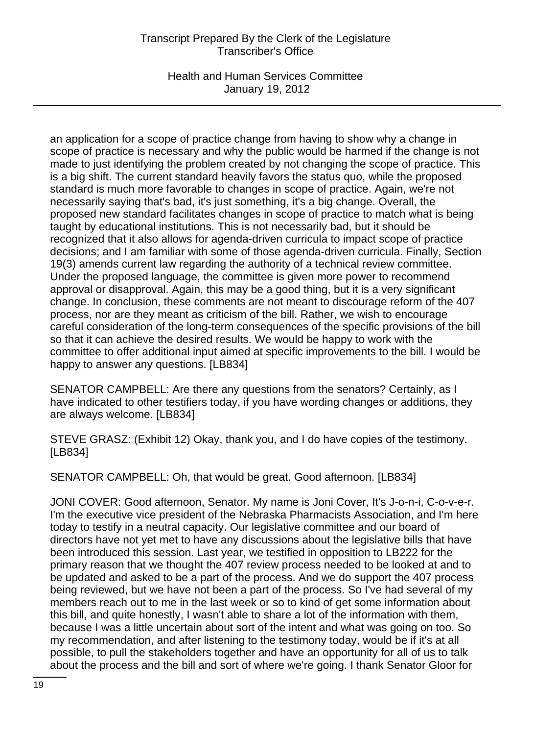Health and Human Services Committee January 19, 2012

an application for a scope of practice change from having to show why a change in scope of practice is necessary and why the public would be harmed if the change is not made to just identifying the problem created by not changing the scope of practice. This is a big shift. The current standard heavily favors the status quo, while the proposed standard is much more favorable to changes in scope of practice. Again, we're not necessarily saying that's bad, it's just something, it's a big change. Overall, the proposed new standard facilitates changes in scope of practice to match what is being taught by educational institutions. This is not necessarily bad, but it should be recognized that it also allows for agenda-driven curricula to impact scope of practice decisions; and I am familiar with some of those agenda-driven curricula. Finally, Section 19(3) amends current law regarding the authority of a technical review committee. Under the proposed language, the committee is given more power to recommend approval or disapproval. Again, this may be a good thing, but it is a very significant change. In conclusion, these comments are not meant to discourage reform of the 407 process, nor are they meant as criticism of the bill. Rather, we wish to encourage careful consideration of the long-term consequences of the specific provisions of the bill so that it can achieve the desired results. We would be happy to work with the committee to offer additional input aimed at specific improvements to the bill. I would be happy to answer any questions. [LB834]

SENATOR CAMPBELL: Are there any questions from the senators? Certainly, as I have indicated to other testifiers today, if you have wording changes or additions, they are always welcome. [LB834]

STEVE GRASZ: (Exhibit 12) Okay, thank you, and I do have copies of the testimony. [LB834]

SENATOR CAMPBELL: Oh, that would be great. Good afternoon. [LB834]

JONI COVER: Good afternoon, Senator. My name is Joni Cover, It's J-o-n-i, C-o-v-e-r. I'm the executive vice president of the Nebraska Pharmacists Association, and I'm here today to testify in a neutral capacity. Our legislative committee and our board of directors have not yet met to have any discussions about the legislative bills that have been introduced this session. Last year, we testified in opposition to LB222 for the primary reason that we thought the 407 review process needed to be looked at and to be updated and asked to be a part of the process. And we do support the 407 process being reviewed, but we have not been a part of the process. So I've had several of my members reach out to me in the last week or so to kind of get some information about this bill, and quite honestly, I wasn't able to share a lot of the information with them, because I was a little uncertain about sort of the intent and what was going on too. So my recommendation, and after listening to the testimony today, would be if it's at all possible, to pull the stakeholders together and have an opportunity for all of us to talk about the process and the bill and sort of where we're going. I thank Senator Gloor for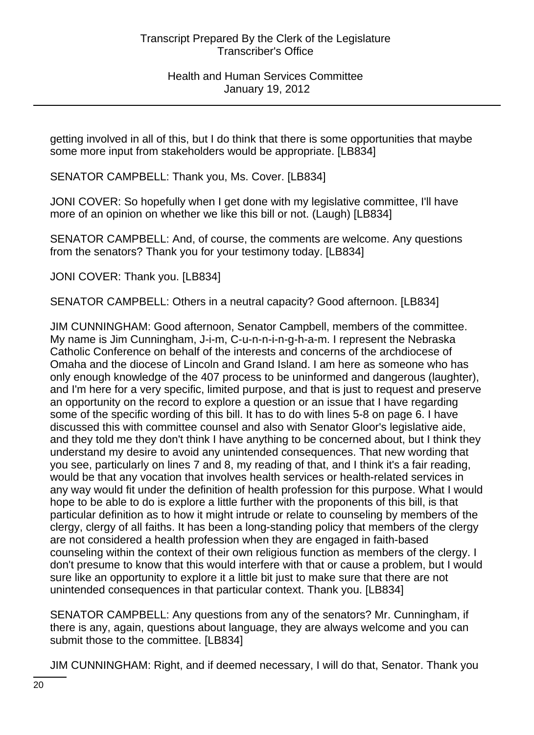getting involved in all of this, but I do think that there is some opportunities that maybe some more input from stakeholders would be appropriate. [LB834]

SENATOR CAMPBELL: Thank you, Ms. Cover. [LB834]

JONI COVER: So hopefully when I get done with my legislative committee, I'll have more of an opinion on whether we like this bill or not. (Laugh) [LB834]

SENATOR CAMPBELL: And, of course, the comments are welcome. Any questions from the senators? Thank you for your testimony today. [LB834]

JONI COVER: Thank you. [LB834]

SENATOR CAMPBELL: Others in a neutral capacity? Good afternoon. [LB834]

JIM CUNNINGHAM: Good afternoon, Senator Campbell, members of the committee. My name is Jim Cunningham, J-i-m, C-u-n-n-i-n-g-h-a-m. I represent the Nebraska Catholic Conference on behalf of the interests and concerns of the archdiocese of Omaha and the diocese of Lincoln and Grand Island. I am here as someone who has only enough knowledge of the 407 process to be uninformed and dangerous (laughter), and I'm here for a very specific, limited purpose, and that is just to request and preserve an opportunity on the record to explore a question or an issue that I have regarding some of the specific wording of this bill. It has to do with lines 5-8 on page 6. I have discussed this with committee counsel and also with Senator Gloor's legislative aide, and they told me they don't think I have anything to be concerned about, but I think they understand my desire to avoid any unintended consequences. That new wording that you see, particularly on lines 7 and 8, my reading of that, and I think it's a fair reading, would be that any vocation that involves health services or health-related services in any way would fit under the definition of health profession for this purpose. What I would hope to be able to do is explore a little further with the proponents of this bill, is that particular definition as to how it might intrude or relate to counseling by members of the clergy, clergy of all faiths. It has been a long-standing policy that members of the clergy are not considered a health profession when they are engaged in faith-based counseling within the context of their own religious function as members of the clergy. I don't presume to know that this would interfere with that or cause a problem, but I would sure like an opportunity to explore it a little bit just to make sure that there are not unintended consequences in that particular context. Thank you. [LB834]

SENATOR CAMPBELL: Any questions from any of the senators? Mr. Cunningham, if there is any, again, questions about language, they are always welcome and you can submit those to the committee. [LB834]

JIM CUNNINGHAM: Right, and if deemed necessary, I will do that, Senator. Thank you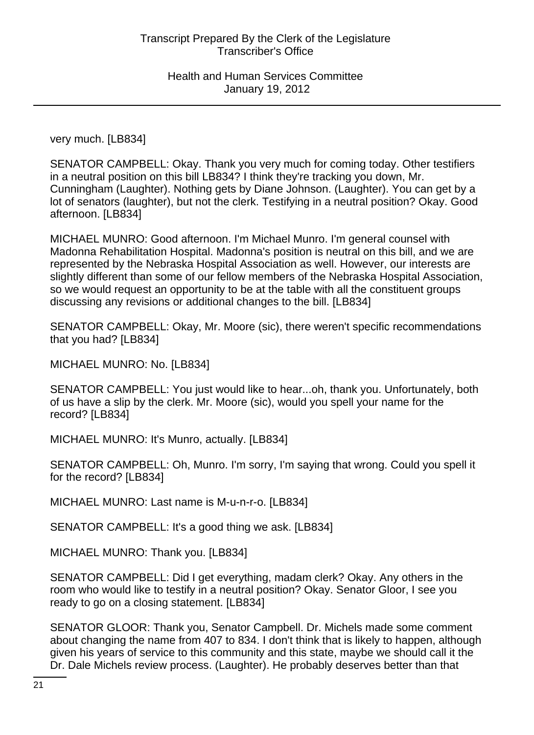very much. [LB834]

SENATOR CAMPBELL: Okay. Thank you very much for coming today. Other testifiers in a neutral position on this bill LB834? I think they're tracking you down, Mr. Cunningham (Laughter). Nothing gets by Diane Johnson. (Laughter). You can get by a lot of senators (laughter), but not the clerk. Testifying in a neutral position? Okay. Good afternoon. [LB834]

MICHAEL MUNRO: Good afternoon. I'm Michael Munro. I'm general counsel with Madonna Rehabilitation Hospital. Madonna's position is neutral on this bill, and we are represented by the Nebraska Hospital Association as well. However, our interests are slightly different than some of our fellow members of the Nebraska Hospital Association, so we would request an opportunity to be at the table with all the constituent groups discussing any revisions or additional changes to the bill. [LB834]

SENATOR CAMPBELL: Okay, Mr. Moore (sic), there weren't specific recommendations that you had? [LB834]

MICHAEL MUNRO: No. [LB834]

SENATOR CAMPBELL: You just would like to hear...oh, thank you. Unfortunately, both of us have a slip by the clerk. Mr. Moore (sic), would you spell your name for the record? [LB834]

MICHAEL MUNRO: It's Munro, actually. [LB834]

SENATOR CAMPBELL: Oh, Munro. I'm sorry, I'm saying that wrong. Could you spell it for the record? [LB834]

MICHAEL MUNRO: Last name is M-u-n-r-o. [LB834]

SENATOR CAMPBELL: It's a good thing we ask. [LB834]

MICHAEL MUNRO: Thank you. [LB834]

SENATOR CAMPBELL: Did I get everything, madam clerk? Okay. Any others in the room who would like to testify in a neutral position? Okay. Senator Gloor, I see you ready to go on a closing statement. [LB834]

SENATOR GLOOR: Thank you, Senator Campbell. Dr. Michels made some comment about changing the name from 407 to 834. I don't think that is likely to happen, although given his years of service to this community and this state, maybe we should call it the Dr. Dale Michels review process. (Laughter). He probably deserves better than that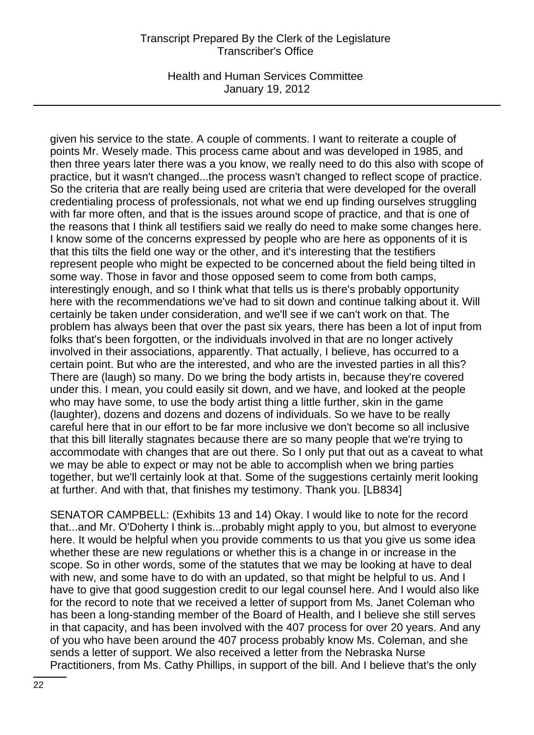Health and Human Services Committee January 19, 2012

given his service to the state. A couple of comments. I want to reiterate a couple of points Mr. Wesely made. This process came about and was developed in 1985, and then three years later there was a you know, we really need to do this also with scope of practice, but it wasn't changed...the process wasn't changed to reflect scope of practice. So the criteria that are really being used are criteria that were developed for the overall credentialing process of professionals, not what we end up finding ourselves struggling with far more often, and that is the issues around scope of practice, and that is one of the reasons that I think all testifiers said we really do need to make some changes here. I know some of the concerns expressed by people who are here as opponents of it is that this tilts the field one way or the other, and it's interesting that the testifiers represent people who might be expected to be concerned about the field being tilted in some way. Those in favor and those opposed seem to come from both camps, interestingly enough, and so I think what that tells us is there's probably opportunity here with the recommendations we've had to sit down and continue talking about it. Will certainly be taken under consideration, and we'll see if we can't work on that. The problem has always been that over the past six years, there has been a lot of input from folks that's been forgotten, or the individuals involved in that are no longer actively involved in their associations, apparently. That actually, I believe, has occurred to a certain point. But who are the interested, and who are the invested parties in all this? There are (laugh) so many. Do we bring the body artists in, because they're covered under this. I mean, you could easily sit down, and we have, and looked at the people who may have some, to use the body artist thing a little further, skin in the game (laughter), dozens and dozens and dozens of individuals. So we have to be really careful here that in our effort to be far more inclusive we don't become so all inclusive that this bill literally stagnates because there are so many people that we're trying to accommodate with changes that are out there. So I only put that out as a caveat to what we may be able to expect or may not be able to accomplish when we bring parties together, but we'll certainly look at that. Some of the suggestions certainly merit looking at further. And with that, that finishes my testimony. Thank you. [LB834]

SENATOR CAMPBELL: (Exhibits 13 and 14) Okay. I would like to note for the record that...and Mr. O'Doherty I think is...probably might apply to you, but almost to everyone here. It would be helpful when you provide comments to us that you give us some idea whether these are new regulations or whether this is a change in or increase in the scope. So in other words, some of the statutes that we may be looking at have to deal with new, and some have to do with an updated, so that might be helpful to us. And I have to give that good suggestion credit to our legal counsel here. And I would also like for the record to note that we received a letter of support from Ms. Janet Coleman who has been a long-standing member of the Board of Health, and I believe she still serves in that capacity, and has been involved with the 407 process for over 20 years. And any of you who have been around the 407 process probably know Ms. Coleman, and she sends a letter of support. We also received a letter from the Nebraska Nurse Practitioners, from Ms. Cathy Phillips, in support of the bill. And I believe that's the only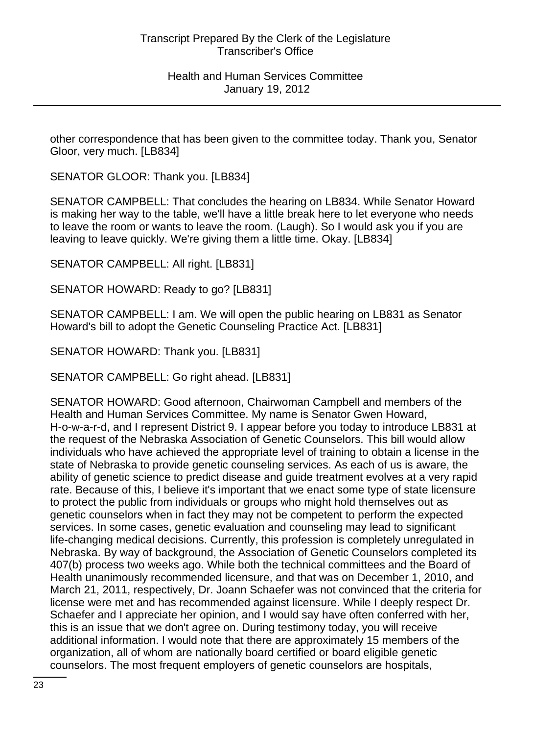other correspondence that has been given to the committee today. Thank you, Senator Gloor, very much. [LB834]

SENATOR GLOOR: Thank you. [LB834]

SENATOR CAMPBELL: That concludes the hearing on LB834. While Senator Howard is making her way to the table, we'll have a little break here to let everyone who needs to leave the room or wants to leave the room. (Laugh). So I would ask you if you are leaving to leave quickly. We're giving them a little time. Okay. [LB834]

SENATOR CAMPBELL: All right. [LB831]

SENATOR HOWARD: Ready to go? [LB831]

SENATOR CAMPBELL: I am. We will open the public hearing on LB831 as Senator Howard's bill to adopt the Genetic Counseling Practice Act. [LB831]

SENATOR HOWARD: Thank you. [LB831]

SENATOR CAMPBELL: Go right ahead. [LB831]

SENATOR HOWARD: Good afternoon, Chairwoman Campbell and members of the Health and Human Services Committee. My name is Senator Gwen Howard, H-o-w-a-r-d, and I represent District 9. I appear before you today to introduce LB831 at the request of the Nebraska Association of Genetic Counselors. This bill would allow individuals who have achieved the appropriate level of training to obtain a license in the state of Nebraska to provide genetic counseling services. As each of us is aware, the ability of genetic science to predict disease and guide treatment evolves at a very rapid rate. Because of this, I believe it's important that we enact some type of state licensure to protect the public from individuals or groups who might hold themselves out as genetic counselors when in fact they may not be competent to perform the expected services. In some cases, genetic evaluation and counseling may lead to significant life-changing medical decisions. Currently, this profession is completely unregulated in Nebraska. By way of background, the Association of Genetic Counselors completed its 407(b) process two weeks ago. While both the technical committees and the Board of Health unanimously recommended licensure, and that was on December 1, 2010, and March 21, 2011, respectively, Dr. Joann Schaefer was not convinced that the criteria for license were met and has recommended against licensure. While I deeply respect Dr. Schaefer and I appreciate her opinion, and I would say have often conferred with her, this is an issue that we don't agree on. During testimony today, you will receive additional information. I would note that there are approximately 15 members of the organization, all of whom are nationally board certified or board eligible genetic counselors. The most frequent employers of genetic counselors are hospitals,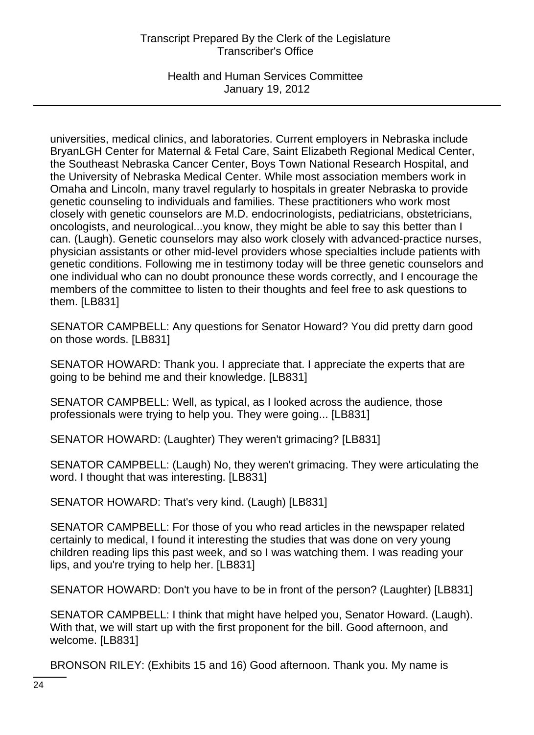Health and Human Services Committee January 19, 2012

universities, medical clinics, and laboratories. Current employers in Nebraska include BryanLGH Center for Maternal & Fetal Care, Saint Elizabeth Regional Medical Center, the Southeast Nebraska Cancer Center, Boys Town National Research Hospital, and the University of Nebraska Medical Center. While most association members work in Omaha and Lincoln, many travel regularly to hospitals in greater Nebraska to provide genetic counseling to individuals and families. These practitioners who work most closely with genetic counselors are M.D. endocrinologists, pediatricians, obstetricians, oncologists, and neurological...you know, they might be able to say this better than I can. (Laugh). Genetic counselors may also work closely with advanced-practice nurses, physician assistants or other mid-level providers whose specialties include patients with genetic conditions. Following me in testimony today will be three genetic counselors and one individual who can no doubt pronounce these words correctly, and I encourage the members of the committee to listen to their thoughts and feel free to ask questions to them. [LB831]

SENATOR CAMPBELL: Any questions for Senator Howard? You did pretty darn good on those words. [LB831]

SENATOR HOWARD: Thank you. I appreciate that. I appreciate the experts that are going to be behind me and their knowledge. [LB831]

SENATOR CAMPBELL: Well, as typical, as I looked across the audience, those professionals were trying to help you. They were going... [LB831]

SENATOR HOWARD: (Laughter) They weren't grimacing? [LB831]

SENATOR CAMPBELL: (Laugh) No, they weren't grimacing. They were articulating the word. I thought that was interesting. [LB831]

SENATOR HOWARD: That's very kind. (Laugh) [LB831]

SENATOR CAMPBELL: For those of you who read articles in the newspaper related certainly to medical, I found it interesting the studies that was done on very young children reading lips this past week, and so I was watching them. I was reading your lips, and you're trying to help her. [LB831]

SENATOR HOWARD: Don't you have to be in front of the person? (Laughter) [LB831]

SENATOR CAMPBELL: I think that might have helped you, Senator Howard. (Laugh). With that, we will start up with the first proponent for the bill. Good afternoon, and welcome. [LB831]

BRONSON RILEY: (Exhibits 15 and 16) Good afternoon. Thank you. My name is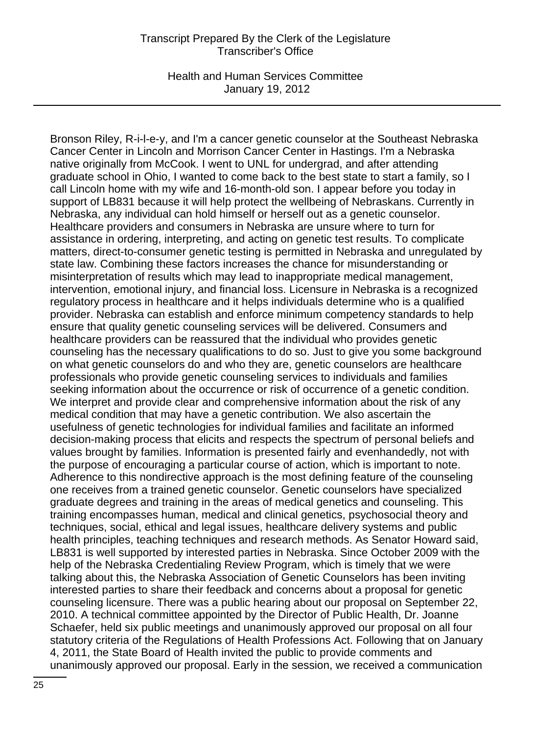Health and Human Services Committee January 19, 2012

Bronson Riley, R-i-l-e-y, and I'm a cancer genetic counselor at the Southeast Nebraska Cancer Center in Lincoln and Morrison Cancer Center in Hastings. I'm a Nebraska native originally from McCook. I went to UNL for undergrad, and after attending graduate school in Ohio, I wanted to come back to the best state to start a family, so I call Lincoln home with my wife and 16-month-old son. I appear before you today in support of LB831 because it will help protect the wellbeing of Nebraskans. Currently in Nebraska, any individual can hold himself or herself out as a genetic counselor. Healthcare providers and consumers in Nebraska are unsure where to turn for assistance in ordering, interpreting, and acting on genetic test results. To complicate matters, direct-to-consumer genetic testing is permitted in Nebraska and unregulated by state law. Combining these factors increases the chance for misunderstanding or misinterpretation of results which may lead to inappropriate medical management, intervention, emotional injury, and financial loss. Licensure in Nebraska is a recognized regulatory process in healthcare and it helps individuals determine who is a qualified provider. Nebraska can establish and enforce minimum competency standards to help ensure that quality genetic counseling services will be delivered. Consumers and healthcare providers can be reassured that the individual who provides genetic counseling has the necessary qualifications to do so. Just to give you some background on what genetic counselors do and who they are, genetic counselors are healthcare professionals who provide genetic counseling services to individuals and families seeking information about the occurrence or risk of occurrence of a genetic condition. We interpret and provide clear and comprehensive information about the risk of any medical condition that may have a genetic contribution. We also ascertain the usefulness of genetic technologies for individual families and facilitate an informed decision-making process that elicits and respects the spectrum of personal beliefs and values brought by families. Information is presented fairly and evenhandedly, not with the purpose of encouraging a particular course of action, which is important to note. Adherence to this nondirective approach is the most defining feature of the counseling one receives from a trained genetic counselor. Genetic counselors have specialized graduate degrees and training in the areas of medical genetics and counseling. This training encompasses human, medical and clinical genetics, psychosocial theory and techniques, social, ethical and legal issues, healthcare delivery systems and public health principles, teaching techniques and research methods. As Senator Howard said, LB831 is well supported by interested parties in Nebraska. Since October 2009 with the help of the Nebraska Credentialing Review Program, which is timely that we were talking about this, the Nebraska Association of Genetic Counselors has been inviting interested parties to share their feedback and concerns about a proposal for genetic counseling licensure. There was a public hearing about our proposal on September 22, 2010. A technical committee appointed by the Director of Public Health, Dr. Joanne Schaefer, held six public meetings and unanimously approved our proposal on all four statutory criteria of the Regulations of Health Professions Act. Following that on January 4, 2011, the State Board of Health invited the public to provide comments and unanimously approved our proposal. Early in the session, we received a communication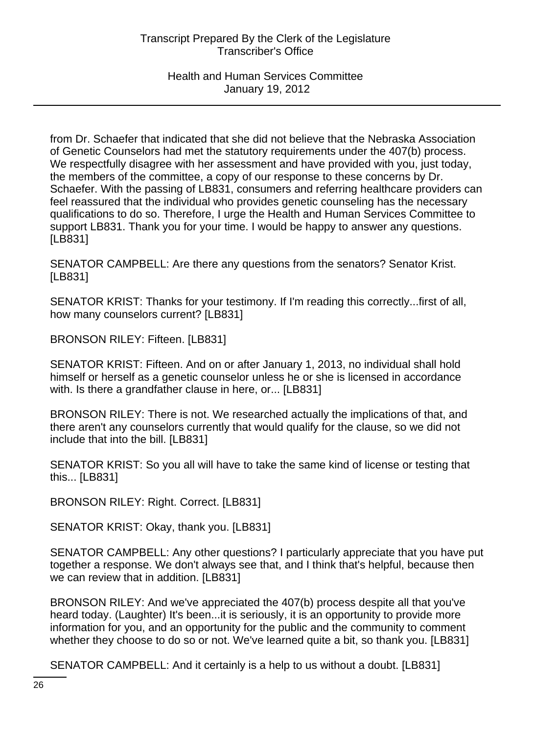from Dr. Schaefer that indicated that she did not believe that the Nebraska Association of Genetic Counselors had met the statutory requirements under the 407(b) process. We respectfully disagree with her assessment and have provided with you, just today, the members of the committee, a copy of our response to these concerns by Dr. Schaefer. With the passing of LB831, consumers and referring healthcare providers can feel reassured that the individual who provides genetic counseling has the necessary qualifications to do so. Therefore, I urge the Health and Human Services Committee to support LB831. Thank you for your time. I would be happy to answer any questions. [LB831]

SENATOR CAMPBELL: Are there any questions from the senators? Senator Krist. [LB831]

SENATOR KRIST: Thanks for your testimony. If I'm reading this correctly...first of all, how many counselors current? [LB831]

BRONSON RILEY: Fifteen. [LB831]

SENATOR KRIST: Fifteen. And on or after January 1, 2013, no individual shall hold himself or herself as a genetic counselor unless he or she is licensed in accordance with. Is there a grandfather clause in here, or... [LB831]

BRONSON RILEY: There is not. We researched actually the implications of that, and there aren't any counselors currently that would qualify for the clause, so we did not include that into the bill. [LB831]

SENATOR KRIST: So you all will have to take the same kind of license or testing that this... [LB831]

BRONSON RILEY: Right. Correct. [LB831]

SENATOR KRIST: Okay, thank you. [LB831]

SENATOR CAMPBELL: Any other questions? I particularly appreciate that you have put together a response. We don't always see that, and I think that's helpful, because then we can review that in addition. [LB831]

BRONSON RILEY: And we've appreciated the 407(b) process despite all that you've heard today. (Laughter) It's been...it is seriously, it is an opportunity to provide more information for you, and an opportunity for the public and the community to comment whether they choose to do so or not. We've learned quite a bit, so thank you. [LB831]

SENATOR CAMPBELL: And it certainly is a help to us without a doubt. [LB831]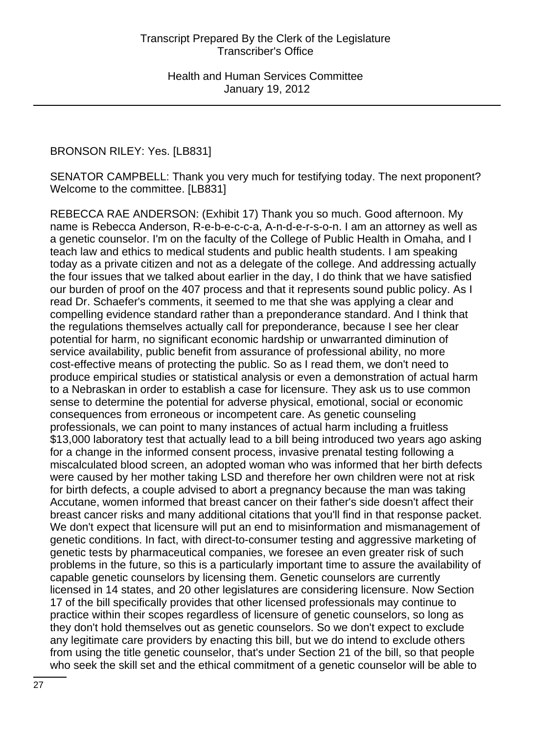# BRONSON RILEY: Yes. [LB831]

SENATOR CAMPBELL: Thank you very much for testifying today. The next proponent? Welcome to the committee. [LB831]

REBECCA RAE ANDERSON: (Exhibit 17) Thank you so much. Good afternoon. My name is Rebecca Anderson, R-e-b-e-c-c-a, A-n-d-e-r-s-o-n. I am an attorney as well as a genetic counselor. I'm on the faculty of the College of Public Health in Omaha, and I teach law and ethics to medical students and public health students. I am speaking today as a private citizen and not as a delegate of the college. And addressing actually the four issues that we talked about earlier in the day, I do think that we have satisfied our burden of proof on the 407 process and that it represents sound public policy. As I read Dr. Schaefer's comments, it seemed to me that she was applying a clear and compelling evidence standard rather than a preponderance standard. And I think that the regulations themselves actually call for preponderance, because I see her clear potential for harm, no significant economic hardship or unwarranted diminution of service availability, public benefit from assurance of professional ability, no more cost-effective means of protecting the public. So as I read them, we don't need to produce empirical studies or statistical analysis or even a demonstration of actual harm to a Nebraskan in order to establish a case for licensure. They ask us to use common sense to determine the potential for adverse physical, emotional, social or economic consequences from erroneous or incompetent care. As genetic counseling professionals, we can point to many instances of actual harm including a fruitless \$13,000 laboratory test that actually lead to a bill being introduced two years ago asking for a change in the informed consent process, invasive prenatal testing following a miscalculated blood screen, an adopted woman who was informed that her birth defects were caused by her mother taking LSD and therefore her own children were not at risk for birth defects, a couple advised to abort a pregnancy because the man was taking Accutane, women informed that breast cancer on their father's side doesn't affect their breast cancer risks and many additional citations that you'll find in that response packet. We don't expect that licensure will put an end to misinformation and mismanagement of genetic conditions. In fact, with direct-to-consumer testing and aggressive marketing of genetic tests by pharmaceutical companies, we foresee an even greater risk of such problems in the future, so this is a particularly important time to assure the availability of capable genetic counselors by licensing them. Genetic counselors are currently licensed in 14 states, and 20 other legislatures are considering licensure. Now Section 17 of the bill specifically provides that other licensed professionals may continue to practice within their scopes regardless of licensure of genetic counselors, so long as they don't hold themselves out as genetic counselors. So we don't expect to exclude any legitimate care providers by enacting this bill, but we do intend to exclude others from using the title genetic counselor, that's under Section 21 of the bill, so that people who seek the skill set and the ethical commitment of a genetic counselor will be able to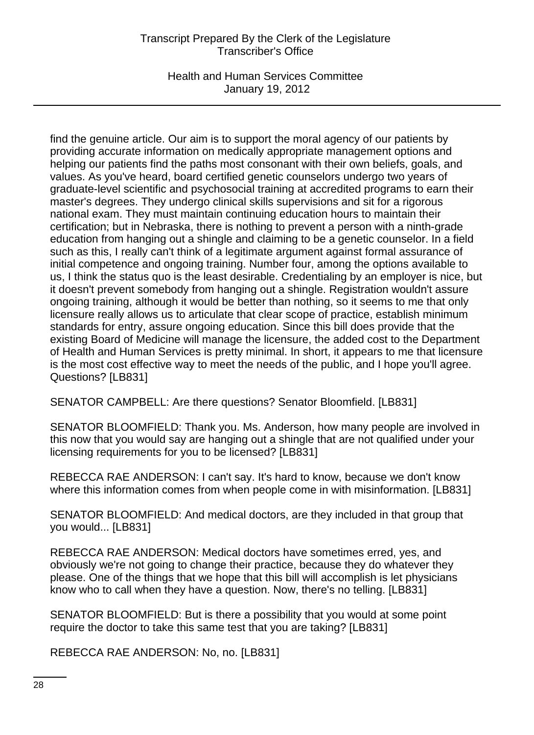Health and Human Services Committee January 19, 2012

find the genuine article. Our aim is to support the moral agency of our patients by providing accurate information on medically appropriate management options and helping our patients find the paths most consonant with their own beliefs, goals, and values. As you've heard, board certified genetic counselors undergo two years of graduate-level scientific and psychosocial training at accredited programs to earn their master's degrees. They undergo clinical skills supervisions and sit for a rigorous national exam. They must maintain continuing education hours to maintain their certification; but in Nebraska, there is nothing to prevent a person with a ninth-grade education from hanging out a shingle and claiming to be a genetic counselor. In a field such as this, I really can't think of a legitimate argument against formal assurance of initial competence and ongoing training. Number four, among the options available to us, I think the status quo is the least desirable. Credentialing by an employer is nice, but it doesn't prevent somebody from hanging out a shingle. Registration wouldn't assure ongoing training, although it would be better than nothing, so it seems to me that only licensure really allows us to articulate that clear scope of practice, establish minimum standards for entry, assure ongoing education. Since this bill does provide that the existing Board of Medicine will manage the licensure, the added cost to the Department of Health and Human Services is pretty minimal. In short, it appears to me that licensure is the most cost effective way to meet the needs of the public, and I hope you'll agree. Questions? [LB831]

SENATOR CAMPBELL: Are there questions? Senator Bloomfield. [LB831]

SENATOR BLOOMFIELD: Thank you. Ms. Anderson, how many people are involved in this now that you would say are hanging out a shingle that are not qualified under your licensing requirements for you to be licensed? [LB831]

REBECCA RAE ANDERSON: I can't say. It's hard to know, because we don't know where this information comes from when people come in with misinformation. [LB831]

SENATOR BLOOMFIELD: And medical doctors, are they included in that group that you would... [LB831]

REBECCA RAE ANDERSON: Medical doctors have sometimes erred, yes, and obviously we're not going to change their practice, because they do whatever they please. One of the things that we hope that this bill will accomplish is let physicians know who to call when they have a question. Now, there's no telling. [LB831]

SENATOR BLOOMFIELD: But is there a possibility that you would at some point require the doctor to take this same test that you are taking? [LB831]

REBECCA RAE ANDERSON: No, no. [LB831]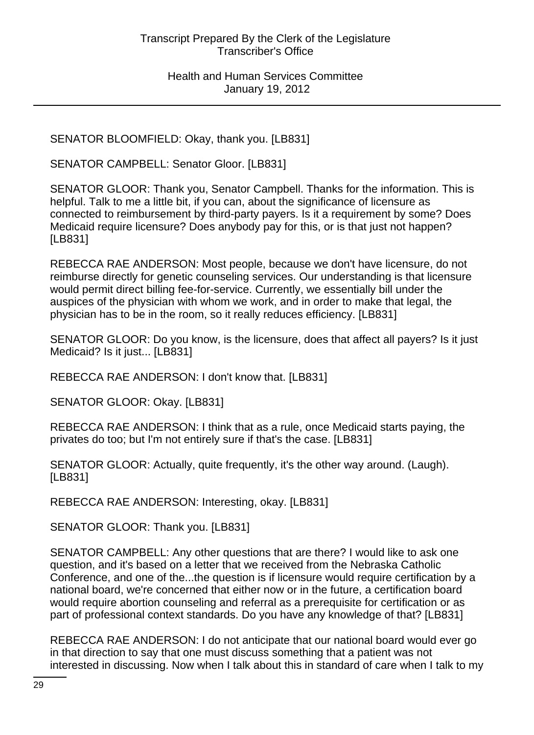SENATOR BLOOMFIELD: Okay, thank you. [LB831]

SENATOR CAMPBELL: Senator Gloor. [LB831]

SENATOR GLOOR: Thank you, Senator Campbell. Thanks for the information. This is helpful. Talk to me a little bit, if you can, about the significance of licensure as connected to reimbursement by third-party payers. Is it a requirement by some? Does Medicaid require licensure? Does anybody pay for this, or is that just not happen? [LB831]

REBECCA RAE ANDERSON: Most people, because we don't have licensure, do not reimburse directly for genetic counseling services. Our understanding is that licensure would permit direct billing fee-for-service. Currently, we essentially bill under the auspices of the physician with whom we work, and in order to make that legal, the physician has to be in the room, so it really reduces efficiency. [LB831]

SENATOR GLOOR: Do you know, is the licensure, does that affect all payers? Is it just Medicaid? Is it just... [LB831]

REBECCA RAE ANDERSON: I don't know that. [LB831]

SENATOR GLOOR: Okay. [LB831]

REBECCA RAE ANDERSON: I think that as a rule, once Medicaid starts paying, the privates do too; but I'm not entirely sure if that's the case. [LB831]

SENATOR GLOOR: Actually, quite frequently, it's the other way around. (Laugh). [LB831]

REBECCA RAE ANDERSON: Interesting, okay. [LB831]

SENATOR GLOOR: Thank you. [LB831]

SENATOR CAMPBELL: Any other questions that are there? I would like to ask one question, and it's based on a letter that we received from the Nebraska Catholic Conference, and one of the...the question is if licensure would require certification by a national board, we're concerned that either now or in the future, a certification board would require abortion counseling and referral as a prerequisite for certification or as part of professional context standards. Do you have any knowledge of that? [LB831]

REBECCA RAE ANDERSON: I do not anticipate that our national board would ever go in that direction to say that one must discuss something that a patient was not interested in discussing. Now when I talk about this in standard of care when I talk to my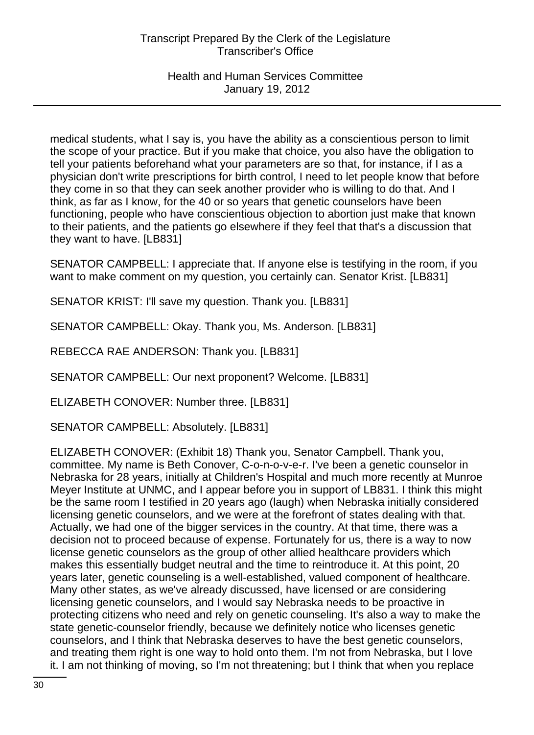medical students, what I say is, you have the ability as a conscientious person to limit the scope of your practice. But if you make that choice, you also have the obligation to tell your patients beforehand what your parameters are so that, for instance, if I as a physician don't write prescriptions for birth control, I need to let people know that before they come in so that they can seek another provider who is willing to do that. And I think, as far as I know, for the 40 or so years that genetic counselors have been functioning, people who have conscientious objection to abortion just make that known to their patients, and the patients go elsewhere if they feel that that's a discussion that they want to have. [LB831]

SENATOR CAMPBELL: I appreciate that. If anyone else is testifying in the room, if you want to make comment on my question, you certainly can. Senator Krist. [LB831]

SENATOR KRIST: I'll save my question. Thank you. [LB831]

SENATOR CAMPBELL: Okay. Thank you, Ms. Anderson. [LB831]

REBECCA RAE ANDERSON: Thank you. [LB831]

SENATOR CAMPBELL: Our next proponent? Welcome. [LB831]

ELIZABETH CONOVER: Number three. [LB831]

SENATOR CAMPBELL: Absolutely. [LB831]

ELIZABETH CONOVER: (Exhibit 18) Thank you, Senator Campbell. Thank you, committee. My name is Beth Conover, C-o-n-o-v-e-r. I've been a genetic counselor in Nebraska for 28 years, initially at Children's Hospital and much more recently at Munroe Meyer Institute at UNMC, and I appear before you in support of LB831. I think this might be the same room I testified in 20 years ago (laugh) when Nebraska initially considered licensing genetic counselors, and we were at the forefront of states dealing with that. Actually, we had one of the bigger services in the country. At that time, there was a decision not to proceed because of expense. Fortunately for us, there is a way to now license genetic counselors as the group of other allied healthcare providers which makes this essentially budget neutral and the time to reintroduce it. At this point, 20 years later, genetic counseling is a well-established, valued component of healthcare. Many other states, as we've already discussed, have licensed or are considering licensing genetic counselors, and I would say Nebraska needs to be proactive in protecting citizens who need and rely on genetic counseling. It's also a way to make the state genetic-counselor friendly, because we definitely notice who licenses genetic counselors, and I think that Nebraska deserves to have the best genetic counselors, and treating them right is one way to hold onto them. I'm not from Nebraska, but I love it. I am not thinking of moving, so I'm not threatening; but I think that when you replace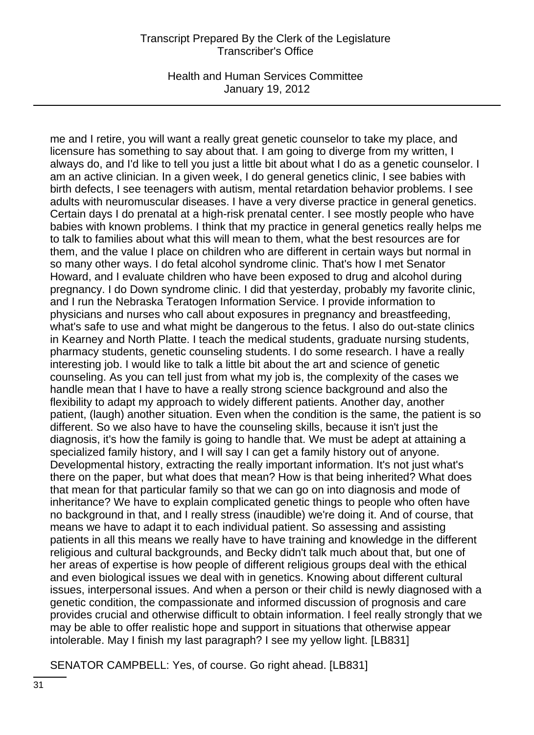Health and Human Services Committee January 19, 2012

me and I retire, you will want a really great genetic counselor to take my place, and licensure has something to say about that. I am going to diverge from my written, I always do, and I'd like to tell you just a little bit about what I do as a genetic counselor. I am an active clinician. In a given week, I do general genetics clinic, I see babies with birth defects, I see teenagers with autism, mental retardation behavior problems. I see adults with neuromuscular diseases. I have a very diverse practice in general genetics. Certain days I do prenatal at a high-risk prenatal center. I see mostly people who have babies with known problems. I think that my practice in general genetics really helps me to talk to families about what this will mean to them, what the best resources are for them, and the value I place on children who are different in certain ways but normal in so many other ways. I do fetal alcohol syndrome clinic. That's how I met Senator Howard, and I evaluate children who have been exposed to drug and alcohol during pregnancy. I do Down syndrome clinic. I did that yesterday, probably my favorite clinic, and I run the Nebraska Teratogen Information Service. I provide information to physicians and nurses who call about exposures in pregnancy and breastfeeding, what's safe to use and what might be dangerous to the fetus. I also do out-state clinics in Kearney and North Platte. I teach the medical students, graduate nursing students, pharmacy students, genetic counseling students. I do some research. I have a really interesting job. I would like to talk a little bit about the art and science of genetic counseling. As you can tell just from what my job is, the complexity of the cases we handle mean that I have to have a really strong science background and also the flexibility to adapt my approach to widely different patients. Another day, another patient, (laugh) another situation. Even when the condition is the same, the patient is so different. So we also have to have the counseling skills, because it isn't just the diagnosis, it's how the family is going to handle that. We must be adept at attaining a specialized family history, and I will say I can get a family history out of anyone. Developmental history, extracting the really important information. It's not just what's there on the paper, but what does that mean? How is that being inherited? What does that mean for that particular family so that we can go on into diagnosis and mode of inheritance? We have to explain complicated genetic things to people who often have no background in that, and I really stress (inaudible) we're doing it. And of course, that means we have to adapt it to each individual patient. So assessing and assisting patients in all this means we really have to have training and knowledge in the different religious and cultural backgrounds, and Becky didn't talk much about that, but one of her areas of expertise is how people of different religious groups deal with the ethical and even biological issues we deal with in genetics. Knowing about different cultural issues, interpersonal issues. And when a person or their child is newly diagnosed with a genetic condition, the compassionate and informed discussion of prognosis and care provides crucial and otherwise difficult to obtain information. I feel really strongly that we may be able to offer realistic hope and support in situations that otherwise appear intolerable. May I finish my last paragraph? I see my yellow light. [LB831]

SENATOR CAMPBELL: Yes, of course. Go right ahead. [LB831]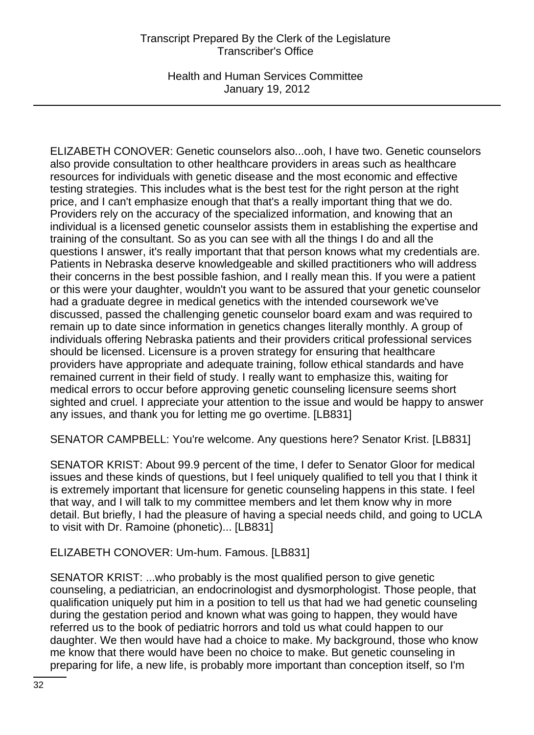Health and Human Services Committee January 19, 2012

ELIZABETH CONOVER: Genetic counselors also...ooh, I have two. Genetic counselors also provide consultation to other healthcare providers in areas such as healthcare resources for individuals with genetic disease and the most economic and effective testing strategies. This includes what is the best test for the right person at the right price, and I can't emphasize enough that that's a really important thing that we do. Providers rely on the accuracy of the specialized information, and knowing that an individual is a licensed genetic counselor assists them in establishing the expertise and training of the consultant. So as you can see with all the things I do and all the questions I answer, it's really important that that person knows what my credentials are. Patients in Nebraska deserve knowledgeable and skilled practitioners who will address their concerns in the best possible fashion, and I really mean this. If you were a patient or this were your daughter, wouldn't you want to be assured that your genetic counselor had a graduate degree in medical genetics with the intended coursework we've discussed, passed the challenging genetic counselor board exam and was required to remain up to date since information in genetics changes literally monthly. A group of individuals offering Nebraska patients and their providers critical professional services should be licensed. Licensure is a proven strategy for ensuring that healthcare providers have appropriate and adequate training, follow ethical standards and have remained current in their field of study. I really want to emphasize this, waiting for medical errors to occur before approving genetic counseling licensure seems short sighted and cruel. I appreciate your attention to the issue and would be happy to answer any issues, and thank you for letting me go overtime. [LB831]

SENATOR CAMPBELL: You're welcome. Any questions here? Senator Krist. [LB831]

SENATOR KRIST: About 99.9 percent of the time, I defer to Senator Gloor for medical issues and these kinds of questions, but I feel uniquely qualified to tell you that I think it is extremely important that licensure for genetic counseling happens in this state. I feel that way, and I will talk to my committee members and let them know why in more detail. But briefly, I had the pleasure of having a special needs child, and going to UCLA to visit with Dr. Ramoine (phonetic)... [LB831]

#### ELIZABETH CONOVER: Um-hum. Famous. [LB831]

SENATOR KRIST: ...who probably is the most qualified person to give genetic counseling, a pediatrician, an endocrinologist and dysmorphologist. Those people, that qualification uniquely put him in a position to tell us that had we had genetic counseling during the gestation period and known what was going to happen, they would have referred us to the book of pediatric horrors and told us what could happen to our daughter. We then would have had a choice to make. My background, those who know me know that there would have been no choice to make. But genetic counseling in preparing for life, a new life, is probably more important than conception itself, so I'm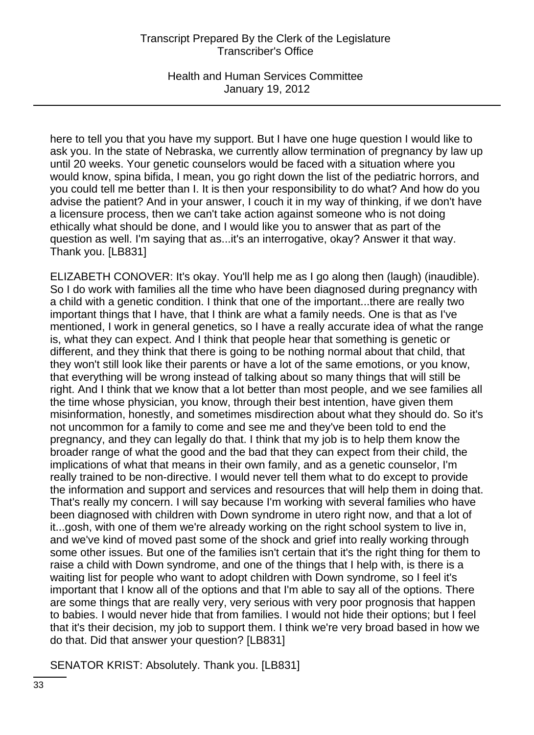Health and Human Services Committee January 19, 2012

here to tell you that you have my support. But I have one huge question I would like to ask you. In the state of Nebraska, we currently allow termination of pregnancy by law up until 20 weeks. Your genetic counselors would be faced with a situation where you would know, spina bifida, I mean, you go right down the list of the pediatric horrors, and you could tell me better than I. It is then your responsibility to do what? And how do you advise the patient? And in your answer, I couch it in my way of thinking, if we don't have a licensure process, then we can't take action against someone who is not doing ethically what should be done, and I would like you to answer that as part of the question as well. I'm saying that as...it's an interrogative, okay? Answer it that way. Thank you. [LB831]

ELIZABETH CONOVER: It's okay. You'll help me as I go along then (laugh) (inaudible). So I do work with families all the time who have been diagnosed during pregnancy with a child with a genetic condition. I think that one of the important...there are really two important things that I have, that I think are what a family needs. One is that as I've mentioned, I work in general genetics, so I have a really accurate idea of what the range is, what they can expect. And I think that people hear that something is genetic or different, and they think that there is going to be nothing normal about that child, that they won't still look like their parents or have a lot of the same emotions, or you know, that everything will be wrong instead of talking about so many things that will still be right. And I think that we know that a lot better than most people, and we see families all the time whose physician, you know, through their best intention, have given them misinformation, honestly, and sometimes misdirection about what they should do. So it's not uncommon for a family to come and see me and they've been told to end the pregnancy, and they can legally do that. I think that my job is to help them know the broader range of what the good and the bad that they can expect from their child, the implications of what that means in their own family, and as a genetic counselor, I'm really trained to be non-directive. I would never tell them what to do except to provide the information and support and services and resources that will help them in doing that. That's really my concern. I will say because I'm working with several families who have been diagnosed with children with Down syndrome in utero right now, and that a lot of it...gosh, with one of them we're already working on the right school system to live in, and we've kind of moved past some of the shock and grief into really working through some other issues. But one of the families isn't certain that it's the right thing for them to raise a child with Down syndrome, and one of the things that I help with, is there is a waiting list for people who want to adopt children with Down syndrome, so I feel it's important that I know all of the options and that I'm able to say all of the options. There are some things that are really very, very serious with very poor prognosis that happen to babies. I would never hide that from families. I would not hide their options; but I feel that it's their decision, my job to support them. I think we're very broad based in how we do that. Did that answer your question? [LB831]

SENATOR KRIST: Absolutely. Thank you. [LB831]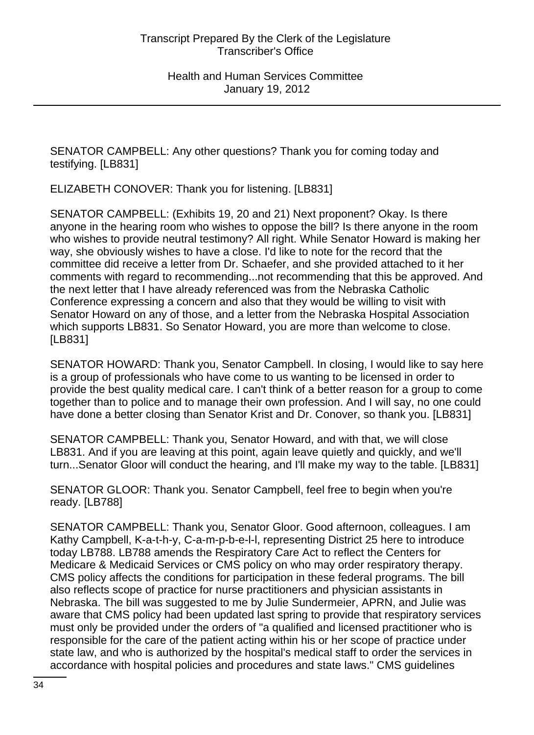SENATOR CAMPBELL: Any other questions? Thank you for coming today and testifying. [LB831]

ELIZABETH CONOVER: Thank you for listening. [LB831]

SENATOR CAMPBELL: (Exhibits 19, 20 and 21) Next proponent? Okay. Is there anyone in the hearing room who wishes to oppose the bill? Is there anyone in the room who wishes to provide neutral testimony? All right. While Senator Howard is making her way, she obviously wishes to have a close. I'd like to note for the record that the committee did receive a letter from Dr. Schaefer, and she provided attached to it her comments with regard to recommending...not recommending that this be approved. And the next letter that I have already referenced was from the Nebraska Catholic Conference expressing a concern and also that they would be willing to visit with Senator Howard on any of those, and a letter from the Nebraska Hospital Association which supports LB831. So Senator Howard, you are more than welcome to close. [LB831]

SENATOR HOWARD: Thank you, Senator Campbell. In closing, I would like to say here is a group of professionals who have come to us wanting to be licensed in order to provide the best quality medical care. I can't think of a better reason for a group to come together than to police and to manage their own profession. And I will say, no one could have done a better closing than Senator Krist and Dr. Conover, so thank you. [LB831]

SENATOR CAMPBELL: Thank you, Senator Howard, and with that, we will close LB831. And if you are leaving at this point, again leave quietly and quickly, and we'll turn...Senator Gloor will conduct the hearing, and I'll make my way to the table. [LB831]

SENATOR GLOOR: Thank you. Senator Campbell, feel free to begin when you're ready. [LB788]

SENATOR CAMPBELL: Thank you, Senator Gloor. Good afternoon, colleagues. I am Kathy Campbell, K-a-t-h-y, C-a-m-p-b-e-l-l, representing District 25 here to introduce today LB788. LB788 amends the Respiratory Care Act to reflect the Centers for Medicare & Medicaid Services or CMS policy on who may order respiratory therapy. CMS policy affects the conditions for participation in these federal programs. The bill also reflects scope of practice for nurse practitioners and physician assistants in Nebraska. The bill was suggested to me by Julie Sundermeier, APRN, and Julie was aware that CMS policy had been updated last spring to provide that respiratory services must only be provided under the orders of "a qualified and licensed practitioner who is responsible for the care of the patient acting within his or her scope of practice under state law, and who is authorized by the hospital's medical staff to order the services in accordance with hospital policies and procedures and state laws." CMS guidelines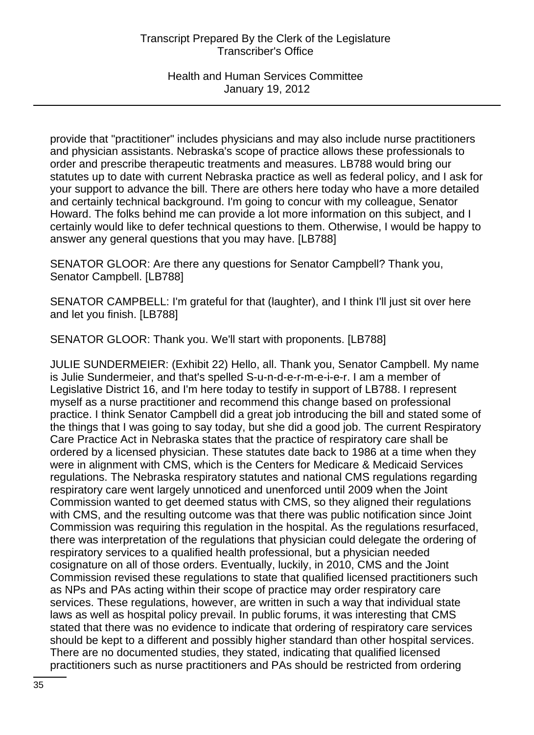Health and Human Services Committee January 19, 2012

provide that "practitioner" includes physicians and may also include nurse practitioners and physician assistants. Nebraska's scope of practice allows these professionals to order and prescribe therapeutic treatments and measures. LB788 would bring our statutes up to date with current Nebraska practice as well as federal policy, and I ask for your support to advance the bill. There are others here today who have a more detailed and certainly technical background. I'm going to concur with my colleague, Senator Howard. The folks behind me can provide a lot more information on this subject, and I certainly would like to defer technical questions to them. Otherwise, I would be happy to answer any general questions that you may have. [LB788]

SENATOR GLOOR: Are there any questions for Senator Campbell? Thank you, Senator Campbell. [LB788]

SENATOR CAMPBELL: I'm grateful for that (laughter), and I think I'll just sit over here and let you finish. [LB788]

SENATOR GLOOR: Thank you. We'll start with proponents. [LB788]

JULIE SUNDERMEIER: (Exhibit 22) Hello, all. Thank you, Senator Campbell. My name is Julie Sundermeier, and that's spelled S-u-n-d-e-r-m-e-i-e-r. I am a member of Legislative District 16, and I'm here today to testify in support of LB788. I represent myself as a nurse practitioner and recommend this change based on professional practice. I think Senator Campbell did a great job introducing the bill and stated some of the things that I was going to say today, but she did a good job. The current Respiratory Care Practice Act in Nebraska states that the practice of respiratory care shall be ordered by a licensed physician. These statutes date back to 1986 at a time when they were in alignment with CMS, which is the Centers for Medicare & Medicaid Services regulations. The Nebraska respiratory statutes and national CMS regulations regarding respiratory care went largely unnoticed and unenforced until 2009 when the Joint Commission wanted to get deemed status with CMS, so they aligned their regulations with CMS, and the resulting outcome was that there was public notification since Joint Commission was requiring this regulation in the hospital. As the regulations resurfaced, there was interpretation of the regulations that physician could delegate the ordering of respiratory services to a qualified health professional, but a physician needed cosignature on all of those orders. Eventually, luckily, in 2010, CMS and the Joint Commission revised these regulations to state that qualified licensed practitioners such as NPs and PAs acting within their scope of practice may order respiratory care services. These regulations, however, are written in such a way that individual state laws as well as hospital policy prevail. In public forums, it was interesting that CMS stated that there was no evidence to indicate that ordering of respiratory care services should be kept to a different and possibly higher standard than other hospital services. There are no documented studies, they stated, indicating that qualified licensed practitioners such as nurse practitioners and PAs should be restricted from ordering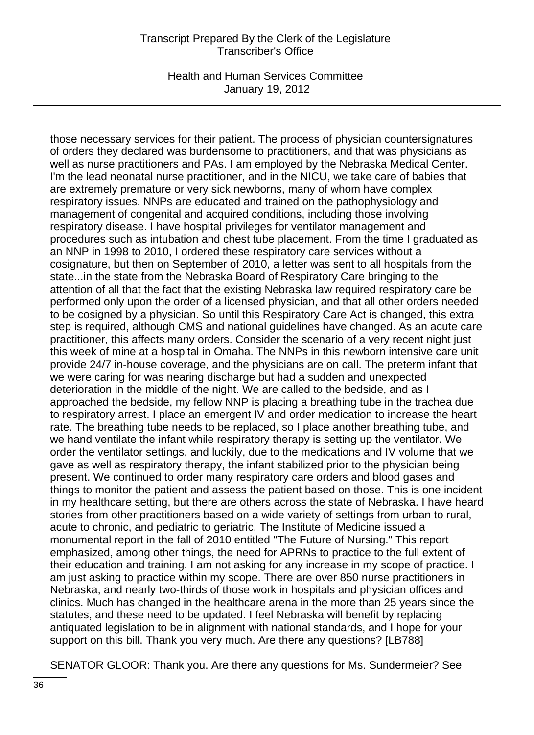Health and Human Services Committee January 19, 2012

those necessary services for their patient. The process of physician countersignatures of orders they declared was burdensome to practitioners, and that was physicians as well as nurse practitioners and PAs. I am employed by the Nebraska Medical Center. I'm the lead neonatal nurse practitioner, and in the NICU, we take care of babies that are extremely premature or very sick newborns, many of whom have complex respiratory issues. NNPs are educated and trained on the pathophysiology and management of congenital and acquired conditions, including those involving respiratory disease. I have hospital privileges for ventilator management and procedures such as intubation and chest tube placement. From the time I graduated as an NNP in 1998 to 2010, I ordered these respiratory care services without a cosignature, but then on September of 2010, a letter was sent to all hospitals from the state...in the state from the Nebraska Board of Respiratory Care bringing to the attention of all that the fact that the existing Nebraska law required respiratory care be performed only upon the order of a licensed physician, and that all other orders needed to be cosigned by a physician. So until this Respiratory Care Act is changed, this extra step is required, although CMS and national guidelines have changed. As an acute care practitioner, this affects many orders. Consider the scenario of a very recent night just this week of mine at a hospital in Omaha. The NNPs in this newborn intensive care unit provide 24/7 in-house coverage, and the physicians are on call. The preterm infant that we were caring for was nearing discharge but had a sudden and unexpected deterioration in the middle of the night. We are called to the bedside, and as I approached the bedside, my fellow NNP is placing a breathing tube in the trachea due to respiratory arrest. I place an emergent IV and order medication to increase the heart rate. The breathing tube needs to be replaced, so I place another breathing tube, and we hand ventilate the infant while respiratory therapy is setting up the ventilator. We order the ventilator settings, and luckily, due to the medications and IV volume that we gave as well as respiratory therapy, the infant stabilized prior to the physician being present. We continued to order many respiratory care orders and blood gases and things to monitor the patient and assess the patient based on those. This is one incident in my healthcare setting, but there are others across the state of Nebraska. I have heard stories from other practitioners based on a wide variety of settings from urban to rural, acute to chronic, and pediatric to geriatric. The Institute of Medicine issued a monumental report in the fall of 2010 entitled "The Future of Nursing." This report emphasized, among other things, the need for APRNs to practice to the full extent of their education and training. I am not asking for any increase in my scope of practice. I am just asking to practice within my scope. There are over 850 nurse practitioners in Nebraska, and nearly two-thirds of those work in hospitals and physician offices and clinics. Much has changed in the healthcare arena in the more than 25 years since the statutes, and these need to be updated. I feel Nebraska will benefit by replacing antiquated legislation to be in alignment with national standards, and I hope for your support on this bill. Thank you very much. Are there any questions? [LB788]

SENATOR GLOOR: Thank you. Are there any questions for Ms. Sundermeier? See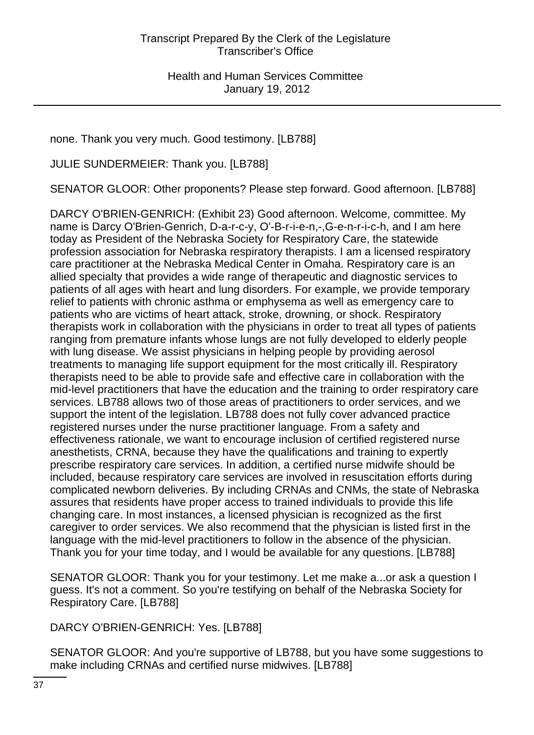none. Thank you very much. Good testimony. [LB788]

JULIE SUNDERMEIER: Thank you. [LB788]

SENATOR GLOOR: Other proponents? Please step forward. Good afternoon. [LB788]

DARCY O'BRIEN-GENRICH: (Exhibit 23) Good afternoon. Welcome, committee. My name is Darcy O'Brien-Genrich, D-a-r-c-y, O'-B-r-i-e-n,-,G-e-n-r-i-c-h, and I am here today as President of the Nebraska Society for Respiratory Care, the statewide profession association for Nebraska respiratory therapists. I am a licensed respiratory care practitioner at the Nebraska Medical Center in Omaha. Respiratory care is an allied specialty that provides a wide range of therapeutic and diagnostic services to patients of all ages with heart and lung disorders. For example, we provide temporary relief to patients with chronic asthma or emphysema as well as emergency care to patients who are victims of heart attack, stroke, drowning, or shock. Respiratory therapists work in collaboration with the physicians in order to treat all types of patients ranging from premature infants whose lungs are not fully developed to elderly people with lung disease. We assist physicians in helping people by providing aerosol treatments to managing life support equipment for the most critically ill. Respiratory therapists need to be able to provide safe and effective care in collaboration with the mid-level practitioners that have the education and the training to order respiratory care services. LB788 allows two of those areas of practitioners to order services, and we support the intent of the legislation. LB788 does not fully cover advanced practice registered nurses under the nurse practitioner language. From a safety and effectiveness rationale, we want to encourage inclusion of certified registered nurse anesthetists, CRNA, because they have the qualifications and training to expertly prescribe respiratory care services. In addition, a certified nurse midwife should be included, because respiratory care services are involved in resuscitation efforts during complicated newborn deliveries. By including CRNAs and CNMs, the state of Nebraska assures that residents have proper access to trained individuals to provide this life changing care. In most instances, a licensed physician is recognized as the first caregiver to order services. We also recommend that the physician is listed first in the language with the mid-level practitioners to follow in the absence of the physician. Thank you for your time today, and I would be available for any questions. [LB788]

SENATOR GLOOR: Thank you for your testimony. Let me make a...or ask a question I guess. It's not a comment. So you're testifying on behalf of the Nebraska Society for Respiratory Care. [LB788]

DARCY O'BRIEN-GENRICH: Yes. [LB788]

SENATOR GLOOR: And you're supportive of LB788, but you have some suggestions to make including CRNAs and certified nurse midwives. [LB788]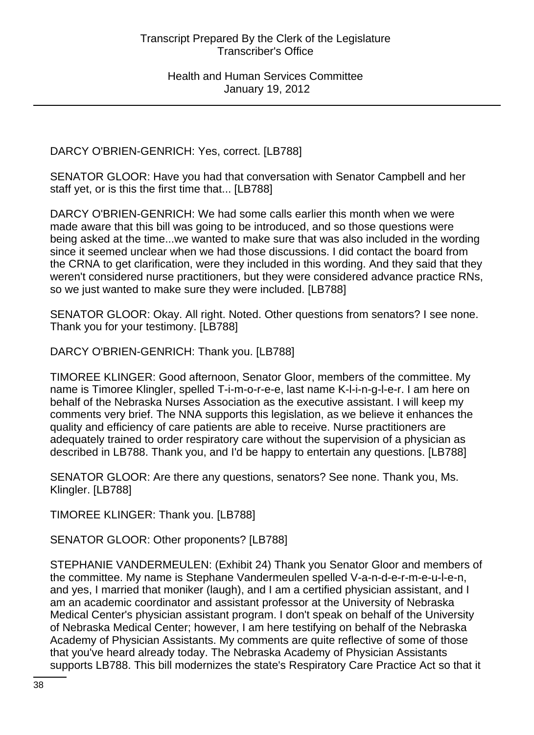DARCY O'BRIEN-GENRICH: Yes, correct. [LB788]

SENATOR GLOOR: Have you had that conversation with Senator Campbell and her staff yet, or is this the first time that... [LB788]

DARCY O'BRIEN-GENRICH: We had some calls earlier this month when we were made aware that this bill was going to be introduced, and so those questions were being asked at the time...we wanted to make sure that was also included in the wording since it seemed unclear when we had those discussions. I did contact the board from the CRNA to get clarification, were they included in this wording. And they said that they weren't considered nurse practitioners, but they were considered advance practice RNs, so we just wanted to make sure they were included. [LB788]

SENATOR GLOOR: Okay. All right. Noted. Other questions from senators? I see none. Thank you for your testimony. [LB788]

DARCY O'BRIEN-GENRICH: Thank you. [LB788]

TIMOREE KLINGER: Good afternoon, Senator Gloor, members of the committee. My name is Timoree Klingler, spelled T-i-m-o-r-e-e, last name K-l-i-n-g-l-e-r. I am here on behalf of the Nebraska Nurses Association as the executive assistant. I will keep my comments very brief. The NNA supports this legislation, as we believe it enhances the quality and efficiency of care patients are able to receive. Nurse practitioners are adequately trained to order respiratory care without the supervision of a physician as described in LB788. Thank you, and I'd be happy to entertain any questions. [LB788]

SENATOR GLOOR: Are there any questions, senators? See none. Thank you, Ms. Klingler. [LB788]

TIMOREE KLINGER: Thank you. [LB788]

SENATOR GLOOR: Other proponents? [LB788]

STEPHANIE VANDERMEULEN: (Exhibit 24) Thank you Senator Gloor and members of the committee. My name is Stephane Vandermeulen spelled V-a-n-d-e-r-m-e-u-l-e-n, and yes, I married that moniker (laugh), and I am a certified physician assistant, and I am an academic coordinator and assistant professor at the University of Nebraska Medical Center's physician assistant program. I don't speak on behalf of the University of Nebraska Medical Center; however, I am here testifying on behalf of the Nebraska Academy of Physician Assistants. My comments are quite reflective of some of those that you've heard already today. The Nebraska Academy of Physician Assistants supports LB788. This bill modernizes the state's Respiratory Care Practice Act so that it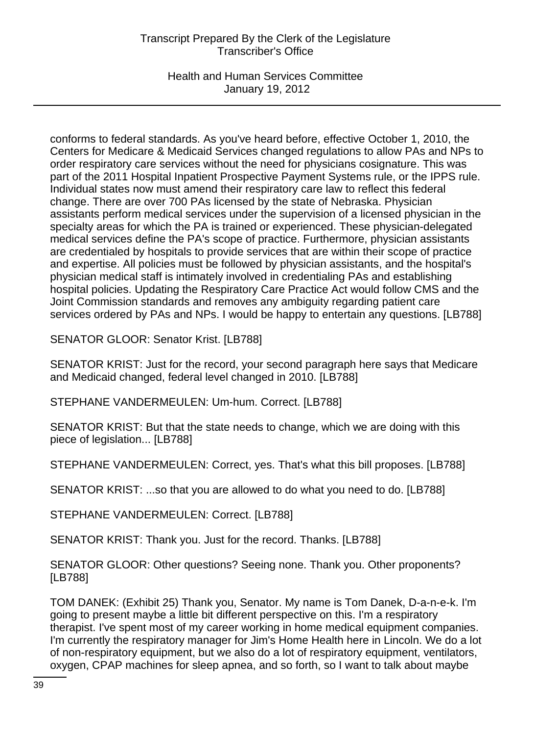Health and Human Services Committee January 19, 2012

conforms to federal standards. As you've heard before, effective October 1, 2010, the Centers for Medicare & Medicaid Services changed regulations to allow PAs and NPs to order respiratory care services without the need for physicians cosignature. This was part of the 2011 Hospital Inpatient Prospective Payment Systems rule, or the IPPS rule. Individual states now must amend their respiratory care law to reflect this federal change. There are over 700 PAs licensed by the state of Nebraska. Physician assistants perform medical services under the supervision of a licensed physician in the specialty areas for which the PA is trained or experienced. These physician-delegated medical services define the PA's scope of practice. Furthermore, physician assistants are credentialed by hospitals to provide services that are within their scope of practice and expertise. All policies must be followed by physician assistants, and the hospital's physician medical staff is intimately involved in credentialing PAs and establishing hospital policies. Updating the Respiratory Care Practice Act would follow CMS and the Joint Commission standards and removes any ambiguity regarding patient care services ordered by PAs and NPs. I would be happy to entertain any questions. [LB788]

SENATOR GLOOR: Senator Krist. [LB788]

SENATOR KRIST: Just for the record, your second paragraph here says that Medicare and Medicaid changed, federal level changed in 2010. [LB788]

STEPHANE VANDERMEULEN: Um-hum. Correct. [LB788]

SENATOR KRIST: But that the state needs to change, which we are doing with this piece of legislation... [LB788]

STEPHANE VANDERMEULEN: Correct, yes. That's what this bill proposes. [LB788]

SENATOR KRIST: ...so that you are allowed to do what you need to do. [LB788]

STEPHANE VANDERMEULEN: Correct. [LB788]

SENATOR KRIST: Thank you. Just for the record. Thanks. [LB788]

SENATOR GLOOR: Other questions? Seeing none. Thank you. Other proponents? [LB788]

TOM DANEK: (Exhibit 25) Thank you, Senator. My name is Tom Danek, D-a-n-e-k. I'm going to present maybe a little bit different perspective on this. I'm a respiratory therapist. I've spent most of my career working in home medical equipment companies. I'm currently the respiratory manager for Jim's Home Health here in Lincoln. We do a lot of non-respiratory equipment, but we also do a lot of respiratory equipment, ventilators, oxygen, CPAP machines for sleep apnea, and so forth, so I want to talk about maybe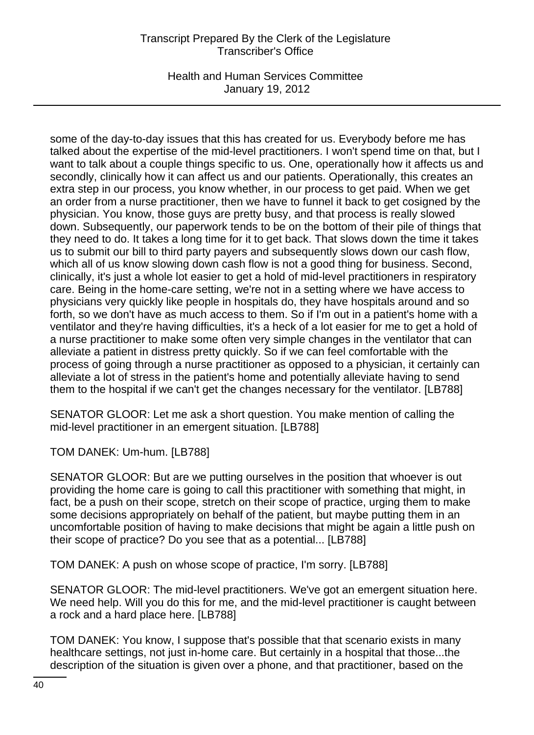Health and Human Services Committee January 19, 2012

some of the day-to-day issues that this has created for us. Everybody before me has talked about the expertise of the mid-level practitioners. I won't spend time on that, but I want to talk about a couple things specific to us. One, operationally how it affects us and secondly, clinically how it can affect us and our patients. Operationally, this creates an extra step in our process, you know whether, in our process to get paid. When we get an order from a nurse practitioner, then we have to funnel it back to get cosigned by the physician. You know, those guys are pretty busy, and that process is really slowed down. Subsequently, our paperwork tends to be on the bottom of their pile of things that they need to do. It takes a long time for it to get back. That slows down the time it takes us to submit our bill to third party payers and subsequently slows down our cash flow, which all of us know slowing down cash flow is not a good thing for business. Second, clinically, it's just a whole lot easier to get a hold of mid-level practitioners in respiratory care. Being in the home-care setting, we're not in a setting where we have access to physicians very quickly like people in hospitals do, they have hospitals around and so forth, so we don't have as much access to them. So if I'm out in a patient's home with a ventilator and they're having difficulties, it's a heck of a lot easier for me to get a hold of a nurse practitioner to make some often very simple changes in the ventilator that can alleviate a patient in distress pretty quickly. So if we can feel comfortable with the process of going through a nurse practitioner as opposed to a physician, it certainly can alleviate a lot of stress in the patient's home and potentially alleviate having to send them to the hospital if we can't get the changes necessary for the ventilator. [LB788]

SENATOR GLOOR: Let me ask a short question. You make mention of calling the mid-level practitioner in an emergent situation. [LB788]

TOM DANEK: Um-hum. [LB788]

SENATOR GLOOR: But are we putting ourselves in the position that whoever is out providing the home care is going to call this practitioner with something that might, in fact, be a push on their scope, stretch on their scope of practice, urging them to make some decisions appropriately on behalf of the patient, but maybe putting them in an uncomfortable position of having to make decisions that might be again a little push on their scope of practice? Do you see that as a potential... [LB788]

TOM DANEK: A push on whose scope of practice, I'm sorry. [LB788]

SENATOR GLOOR: The mid-level practitioners. We've got an emergent situation here. We need help. Will you do this for me, and the mid-level practitioner is caught between a rock and a hard place here. [LB788]

TOM DANEK: You know, I suppose that's possible that that scenario exists in many healthcare settings, not just in-home care. But certainly in a hospital that those...the description of the situation is given over a phone, and that practitioner, based on the